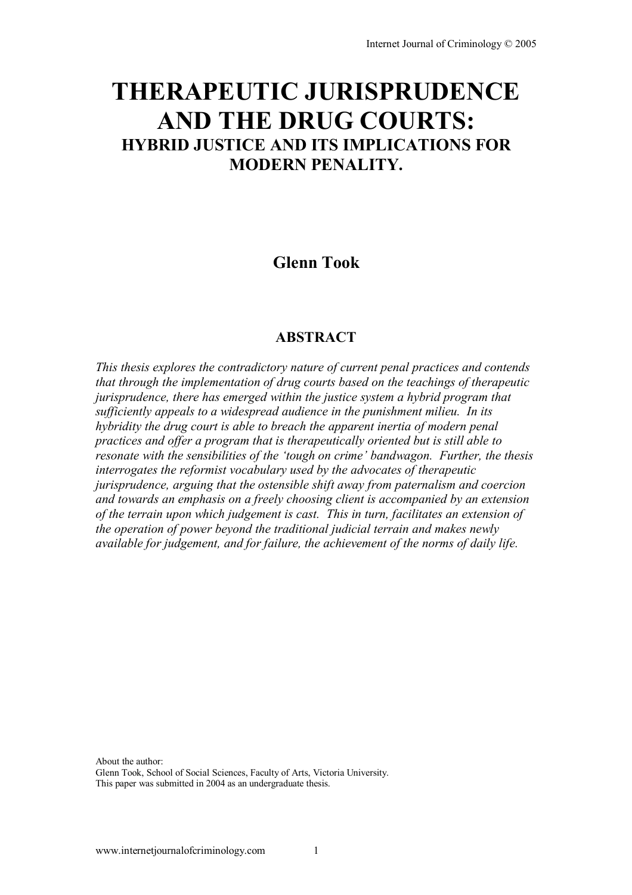# **THERAPEUTIC JURISPRUDENCE AND THE DRUG COURTS: HYBRID JUSTICE AND ITS IMPLICATIONS FOR MODERN PENALITY.**

# **Glenn Took**

# **ABSTRACT**

*This thesis explores the contradictory nature of current penal practices and contends that through the implementation of drug courts based on the teachings of therapeutic jurisprudence, there has emerged within the justice system a hybrid program that sufficiently appeals to a widespread audience in the punishment milieu. In its hybridity the drug court is able to breach the apparent inertia of modern penal practices and offer a program that is therapeutically oriented but is still able to resonate with the sensibilities of the 'tough on crime' bandwagon. Further, the thesis interrogates the reformist vocabulary used by the advocates of therapeutic jurisprudence, arguing that the ostensible shift away from paternalism and coercion and towards an emphasis on a freely choosing client is accompanied by an extension of the terrain upon which judgement is cast. This in turn, facilitates an extension of the operation of power beyond the traditional judicial terrain and makes newly available for judgement, and for failure, the achievement of the norms of daily life.* 

About the author:

Glenn Took, School of Social Sciences, Faculty of Arts, Victoria University. This paper was submitted in 2004 as an undergraduate thesis.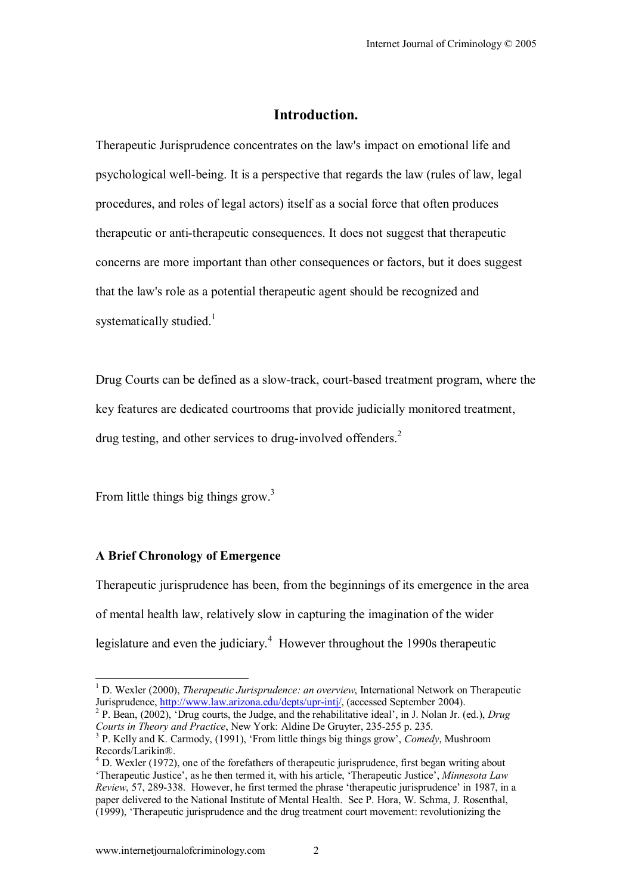## **Introduction.**

Therapeutic Jurisprudence concentrates on the law's impact on emotional life and psychological well-being. It is a perspective that regards the law (rules of law, legal procedures, and roles of legal actors) itself as a social force that often produces therapeutic or anti-therapeutic consequences. It does not suggest that therapeutic concerns are more important than other consequences or factors, but it does suggest that the law's role as a potential therapeutic agent should be recognized and systematically studied. $1$ 

Drug Courts can be defined as a slow-track, court-based treatment program, where the key features are dedicated courtrooms that provide judicially monitored treatment, drug testing, and other services to drug-involved offenders.<sup>2</sup>

From little things big things grow.<sup>3</sup>

## **A Brief Chronology of Emergence**

 $\overline{a}$ 

Therapeutic jurisprudence has been, from the beginnings of its emergence in the area of mental health law, relatively slow in capturing the imagination of the wider legislature and even the judiciary.<sup>4</sup> However throughout the 1990s therapeutic

<sup>&</sup>lt;sup>1</sup> D. Wexler (2000), *Therapeutic Jurisprudence: an overview*, International Network on Therapeutic Jurisprudence, http://www.law.arizona.edu/depts/upr-intj/, (accessed September 2004). 2

<sup>&</sup>lt;sup>2</sup> P. Bean, (2002), 'Drug courts, the Judge, and the rehabilitative ideal', in J. Nolan Jr. (ed.), *Drug Courts in Theory and Practice*, New York: Aldine De Gruyter, 235-255 p. 235.

<sup>&</sup>lt;sup>3</sup> P. Kelly and K. Carmody, (1991), 'From little things big things grow', *Comedy*, Mushroom Records/LarikinÆ.

 $<sup>4</sup>$  D. Wexler (1972), one of the forefathers of therapeutic jurisprudence, first began writing about</sup> ëTherapeutic Justiceí, as he then termed it, with his article, ëTherapeutic Justiceí, *Minnesota Law Review*, 57, 289-338. However, he first termed the phrase 'therapeutic jurisprudence' in 1987, in a paper delivered to the National Institute of Mental Health. See P. Hora, W. Schma, J. Rosenthal, (1999), ëTherapeutic jurisprudence and the drug treatment court movement: revolutionizing the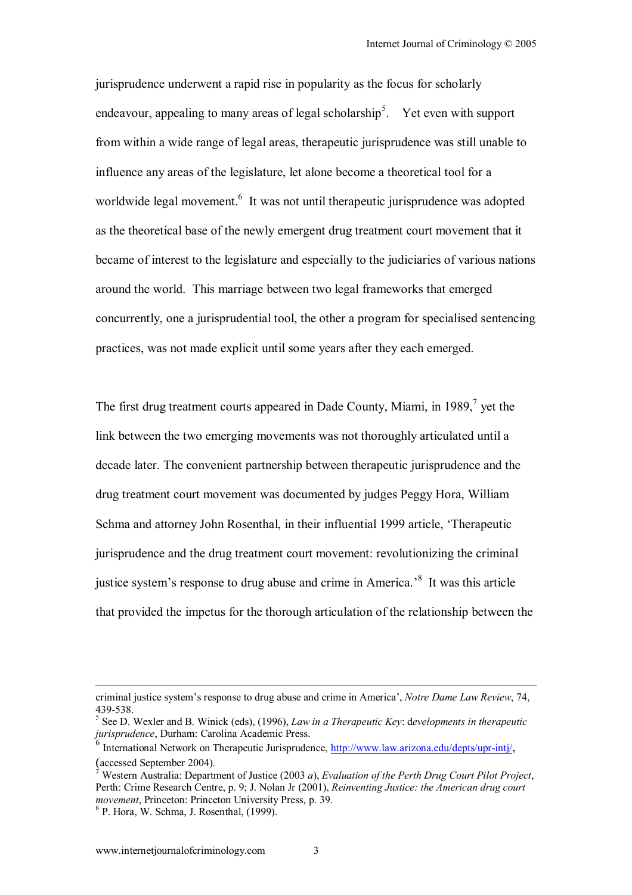jurisprudence underwent a rapid rise in popularity as the focus for scholarly endeavour, appealing to many areas of legal scholarship<sup>5</sup>. Yet even with support from within a wide range of legal areas, therapeutic jurisprudence was still unable to influence any areas of the legislature, let alone become a theoretical tool for a worldwide legal movement.<sup>6</sup> It was not until therapeutic jurisprudence was adopted as the theoretical base of the newly emergent drug treatment court movement that it became of interest to the legislature and especially to the judiciaries of various nations around the world. This marriage between two legal frameworks that emerged concurrently, one a jurisprudential tool, the other a program for specialised sentencing practices, was not made explicit until some years after they each emerged.

The first drug treatment courts appeared in Dade County, Miami, in 1989, $<sup>7</sup>$  yet the</sup> link between the two emerging movements was not thoroughly articulated until a decade later. The convenient partnership between therapeutic jurisprudence and the drug treatment court movement was documented by judges Peggy Hora, William Schma and attorney John Rosenthal, in their influential 1999 article, ëTherapeutic jurisprudence and the drug treatment court movement: revolutionizing the criminal justice system's response to drug abuse and crime in America.<sup>8</sup> It was this article that provided the impetus for the thorough articulation of the relationship between the

criminal justice systemís response to drug abuse and crime in Americaí, *Notre Dame Law Review*, 74, 439-538.

<sup>5</sup> See D. Wexler and B. Winick (eds), (1996), *Law in a Therapeutic Key*: d*evelopments in therapeutic jurisprudence*, Durham: Carolina Academic Press.

<sup>&</sup>lt;sup>6</sup> International Network on Therapeutic Jurisprudence, http://www.law.arizona.edu/depts/upr-intj/, (accessed September 2004).

Western Australia: Department of Justice (2003 *a*), *Evaluation of the Perth Drug Court Pilot Project*, Perth: Crime Research Centre, p. 9; J. Nolan Jr (2001), *Reinventing Justice: the American drug court movement*, Princeton: Princeton University Press, p. 39.

P. Hora, W. Schma, J. Rosenthal, (1999).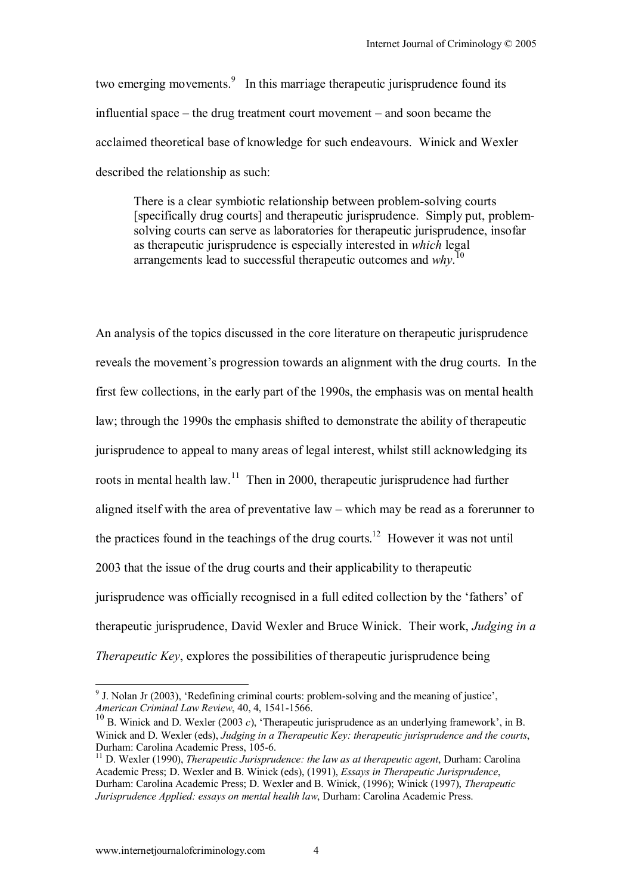two emerging movements. $\frac{9}{10}$  In this marriage therapeutic jurisprudence found its influential space  $-$  the drug treatment court movement  $-$  and soon became the acclaimed theoretical base of knowledge for such endeavours. Winick and Wexler described the relationship as such:

There is a clear symbiotic relationship between problem-solving courts [specifically drug courts] and therapeutic jurisprudence. Simply put, problemsolving courts can serve as laboratories for therapeutic jurisprudence, insofar as therapeutic jurisprudence is especially interested in *which* legal arrangements lead to successful therapeutic outcomes and *why*. 10

An analysis of the topics discussed in the core literature on therapeutic jurisprudence reveals the movement's progression towards an alignment with the drug courts. In the first few collections, in the early part of the 1990s, the emphasis was on mental health law; through the 1990s the emphasis shifted to demonstrate the ability of therapeutic jurisprudence to appeal to many areas of legal interest, whilst still acknowledging its roots in mental health law.<sup>11</sup> Then in 2000, therapeutic jurisprudence had further aligned itself with the area of preventative  $law - which may be read as a forerumer to$ the practices found in the teachings of the drug courts.<sup>12</sup> However it was not until 2003 that the issue of the drug courts and their applicability to therapeutic jurisprudence was officially recognised in a full edited collection by the 'fathers' of therapeutic jurisprudence, David Wexler and Bruce Winick. Their work, *Judging in a Therapeutic Key*, explores the possibilities of therapeutic jurisprudence being

 $9<sup>9</sup>$  J. Nolan Jr (2003), 'Redefining criminal courts: problem-solving and the meaning of justice', *American Criminal Law Review*, 40, 4, 1541-1566.

<sup>&</sup>lt;sup>10</sup> B. Winick and D. Wexler (2003 *c*), 'Therapeutic jurisprudence as an underlying framework', in B. Winick and D. Wexler (eds), *Judging in a Therapeutic Key: therapeutic jurisprudence and the courts*, Durham: Carolina Academic Press, 105-6.

<sup>&</sup>lt;sup>11</sup> D. Wexler (1990), *Therapeutic Jurisprudence: the law as at therapeutic agent*, Durham: Carolina Academic Press; D. Wexler and B. Winick (eds), (1991), *Essays in Therapeutic Jurisprudence*, Durham: Carolina Academic Press; D. Wexler and B. Winick, (1996); Winick (1997), *Therapeutic Jurisprudence Applied: essays on mental health law*, Durham: Carolina Academic Press.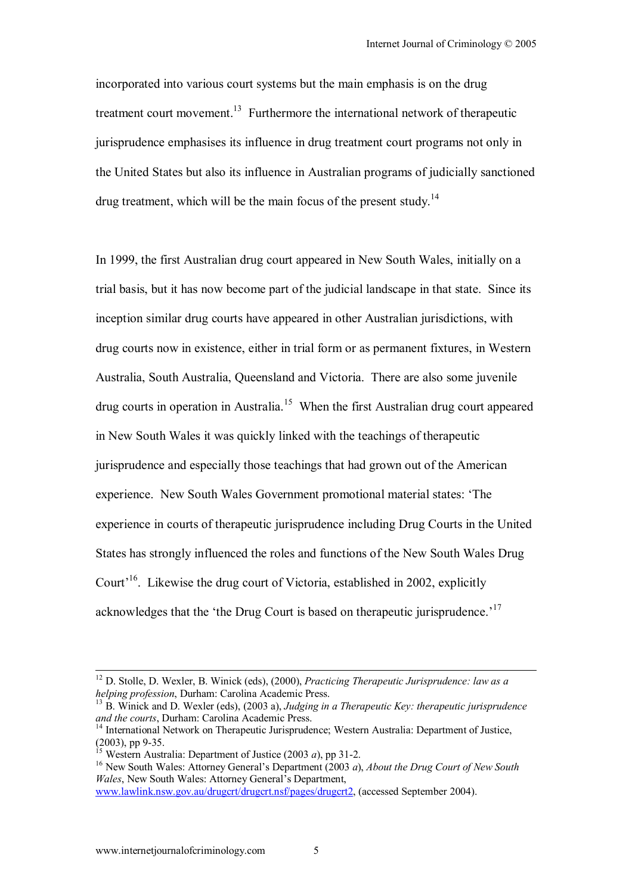incorporated into various court systems but the main emphasis is on the drug treatment court movement.<sup>13</sup> Furthermore the international network of therapeutic jurisprudence emphasises its influence in drug treatment court programs not only in the United States but also its influence in Australian programs of judicially sanctioned drug treatment, which will be the main focus of the present study.<sup>14</sup>

In 1999, the first Australian drug court appeared in New South Wales, initially on a trial basis, but it has now become part of the judicial landscape in that state. Since its inception similar drug courts have appeared in other Australian jurisdictions, with drug courts now in existence, either in trial form or as permanent fixtures, in Western Australia, South Australia, Queensland and Victoria. There are also some juvenile drug courts in operation in Australia.15 When the first Australian drug court appeared in New South Wales it was quickly linked with the teachings of therapeutic jurisprudence and especially those teachings that had grown out of the American experience. New South Wales Government promotional material states: 'The experience in courts of therapeutic jurisprudence including Drug Courts in the United States has strongly influenced the roles and functions of the New South Wales Drug Court<sup> $16$ </sup>. Likewise the drug court of Victoria, established in 2002, explicitly acknowledges that the 'the Drug Court is based on therapeutic jurisprudence.<sup>17</sup>

<sup>&</sup>lt;sup>12</sup> D. Stolle, D. Wexler, B. Winick (eds), (2000), *Practicing Therapeutic Jurisprudence: law as a helping profession*, Durham: Carolina Academic Press.

<sup>&</sup>lt;sup>13</sup> B. Winick and D. Wexler (eds), (2003 a), *Judging in a Therapeutic Key: therapeutic jurisprudence and the courts*, Durham: Carolina Academic Press.

<sup>&</sup>lt;sup>14</sup> International Network on Therapeutic Jurisprudence; Western Australia: Department of Justice,  $(2003)$ , pp 9-35.<br><sup>15</sup> Western Australia: Department of Justice  $(2003 a)$ , pp 31-2.

<sup>&</sup>lt;sup>16</sup> New South Wales: Attorney General's Department (2003 *a*), *About the Drug Court of New South Wales*, New South Wales: Attorney General's Department, www.lawlink.nsw.gov.au/drugcrt/drugcrt.nsf/pages/drugcrt2, (accessed September 2004).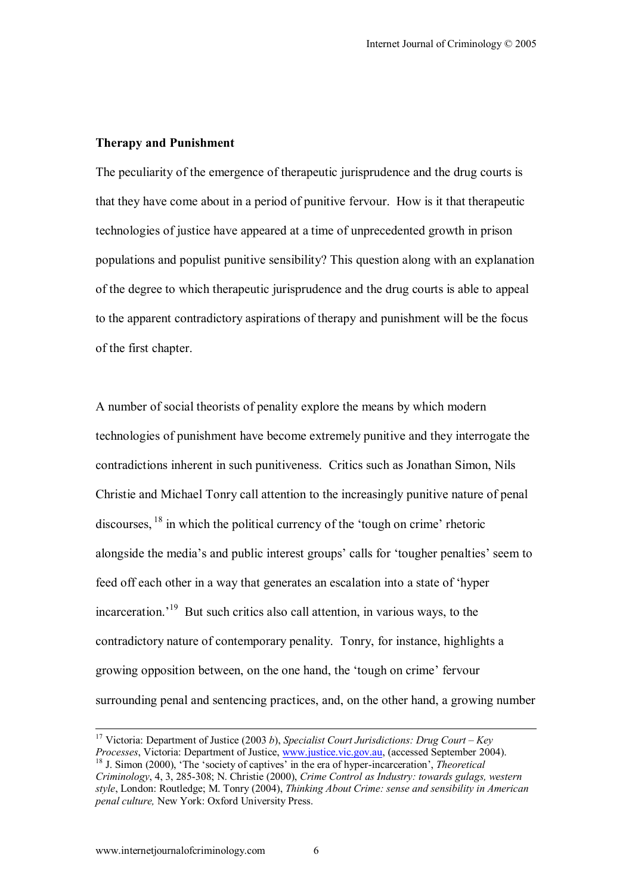#### **Therapy and Punishment**

The peculiarity of the emergence of therapeutic jurisprudence and the drug courts is that they have come about in a period of punitive fervour. How is it that therapeutic technologies of justice have appeared at a time of unprecedented growth in prison populations and populist punitive sensibility? This question along with an explanation of the degree to which therapeutic jurisprudence and the drug courts is able to appeal to the apparent contradictory aspirations of therapy and punishment will be the focus of the first chapter.

A number of social theorists of penality explore the means by which modern technologies of punishment have become extremely punitive and they interrogate the contradictions inherent in such punitiveness. Critics such as Jonathan Simon, Nils Christie and Michael Tonry call attention to the increasingly punitive nature of penal discourses,  $^{18}$  in which the political currency of the 'tough on crime' rhetoric alongside the media's and public interest groups' calls for 'tougher penalties' seem to feed off each other in a way that generates an escalation into a state of ëhyper incarceration.<sup> $19$ </sup> But such critics also call attention, in various ways, to the contradictory nature of contemporary penality. Tonry, for instance, highlights a growing opposition between, on the one hand, the 'tough on crime' fervour surrounding penal and sentencing practices, and, on the other hand, a growing number

<sup>&</sup>lt;sup>17</sup> Victoria: Department of Justice (2003 *b*), *Specialist Court Jurisdictions: Drug Court – Key Processes*, Victoria: Department of Justice, www.justice.vic.gov.au. (accessed September 2004). <sup>18</sup> J. Simon (2000), 'The 'society of captives' in the era of hyper-incarceration', *Theoretical Criminology*, 4, 3, 285-308; N. Christie (2000), *Crime Control as Industry: towards gulags, western style*, London: Routledge; M. Tonry (2004), *Thinking About Crime: sense and sensibility in American penal culture,* New York: Oxford University Press.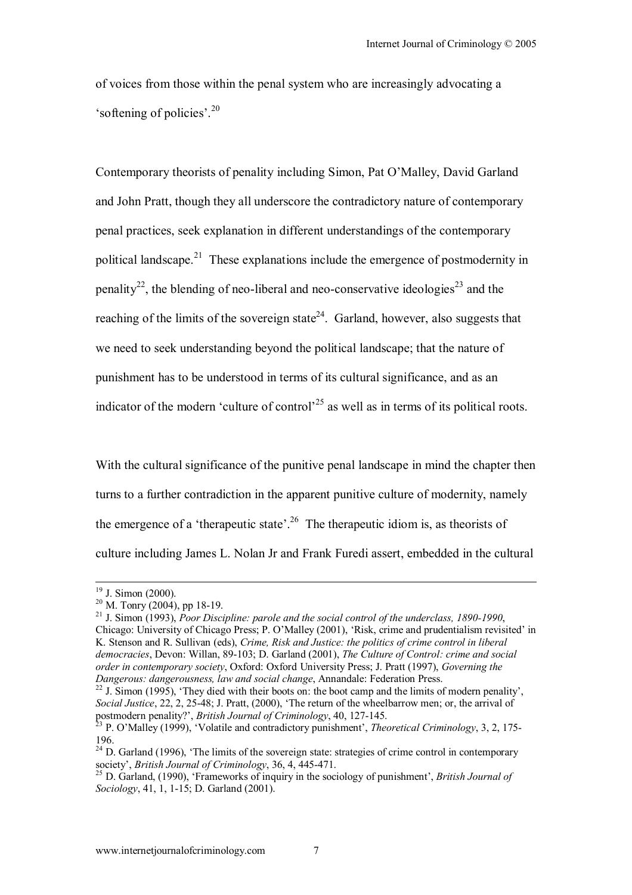of voices from those within the penal system who are increasingly advocating a 'softening of policies'.<sup>20</sup>

Contemporary theorists of penality including Simon, Pat O'Malley, David Garland and John Pratt, though they all underscore the contradictory nature of contemporary penal practices, seek explanation in different understandings of the contemporary political landscape.<sup>21</sup> These explanations include the emergence of postmodernity in penality<sup>22</sup>, the blending of neo-liberal and neo-conservative ideologies<sup>23</sup> and the reaching of the limits of the sovereign state<sup>24</sup>. Garland, however, also suggests that we need to seek understanding beyond the political landscape; that the nature of punishment has to be understood in terms of its cultural significance, and as an indicator of the modern 'culture of control<sup> $25$ </sup> as well as in terms of its political roots.

With the cultural significance of the punitive penal landscape in mind the chapter then turns to a further contradiction in the apparent punitive culture of modernity, namely the emergence of a 'therapeutic state'.<sup>26</sup> The therapeutic idiom is, as theorists of culture including James L. Nolan Jr and Frank Furedi assert, embedded in the cultural

<sup>&</sup>lt;sup>19</sup> J. Simon (2000).

 $20$  M. Tonry (2004), pp 18-19.

<sup>21</sup> J. Simon (1993), *Poor Discipline: parole and the social control of the underclass, 1890-1990*, Chicago: University of Chicago Press; P. O'Malley (2001), 'Risk, crime and prudentialism revisited' in K. Stenson and R. Sullivan (eds), *Crime, Risk and Justice: the politics of crime control in liberal democracies*, Devon: Willan, 89-103; D. Garland (2001), *The Culture of Control: crime and social order in contemporary society*, Oxford: Oxford University Press; J. Pratt (1997), *Governing the Dangerous: dangerousness, law and social change*, Annandale: Federation Press.<br><sup>22</sup> J. Simon (1995), 'They died with their boots on: the boot camp and the limits of modern penality',

*Social Justice*, 22, 2, 25-48; J. Pratt, (2000), 'The return of the wheelbarrow men; or, the arrival of postmodern penality?', *British Journal of Criminology*, 40, 127-145.<br><sup>23</sup> P. O'Malley (1999), 'Volatile and contradictory punishment', *Theoretical Criminology*, 3, 2, 175-

<sup>196.</sup> 

 $24$  D. Garland (1996), 'The limits of the sovereign state: strategies of crime control in contemporary society', *British Journal of Criminology*, 36, 4, 445-471.<br><sup>25</sup> D. Garland, (1990), 'Frameworks of inquiry in the sociology of punishment', *British Journal of* 

*Sociology*, 41, 1, 1-15; D. Garland (2001).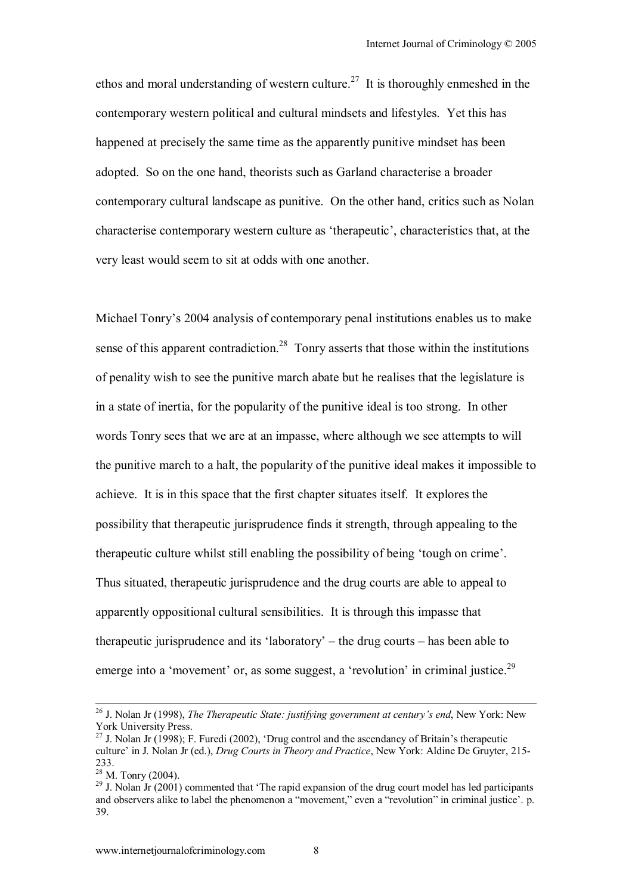ethos and moral understanding of western culture.<sup>27</sup> It is thoroughly enmeshed in the contemporary western political and cultural mindsets and lifestyles. Yet this has happened at precisely the same time as the apparently punitive mindset has been adopted. So on the one hand, theorists such as Garland characterise a broader contemporary cultural landscape as punitive. On the other hand, critics such as Nolan characterise contemporary western culture as 'therapeutic', characteristics that, at the very least would seem to sit at odds with one another.

Michael Tonry's 2004 analysis of contemporary penal institutions enables us to make sense of this apparent contradiction.<sup>28</sup> Tonry asserts that those within the institutions of penality wish to see the punitive march abate but he realises that the legislature is in a state of inertia, for the popularity of the punitive ideal is too strong. In other words Tonry sees that we are at an impasse, where although we see attempts to will the punitive march to a halt, the popularity of the punitive ideal makes it impossible to achieve. It is in this space that the first chapter situates itself. It explores the possibility that therapeutic jurisprudence finds it strength, through appealing to the therapeutic culture whilst still enabling the possibility of being 'tough on crime'. Thus situated, therapeutic jurisprudence and the drug courts are able to appeal to apparently oppositional cultural sensibilities. It is through this impasse that therapeutic jurisprudence and its 'laboratory' – the drug courts – has been able to emerge into a 'movement' or, as some suggest, a 'revolution' in criminal justice.<sup>29</sup>

<sup>&</sup>lt;sup>26</sup> J. Nolan Jr (1998), *The Therapeutic State: justifying government at century's end*, New York: New York University Press.

<sup>&</sup>lt;sup>27</sup> J. Nolan Jr (1998); F. Furedi (2002), 'Drug control and the ascendancy of Britain's therapeutic culture' in J. Nolan Jr (ed.), *Drug Courts in Theory and Practice*, New York: Aldine De Gruyter, 215-233.

 $28$  M. Tonry (2004).

 $^{29}$  J. Nolan Jr (2001) commented that 'The rapid expansion of the drug court model has led participants and observers alike to label the phenomenon a "movement," even a "revolution" in criminal justice'. p. 39.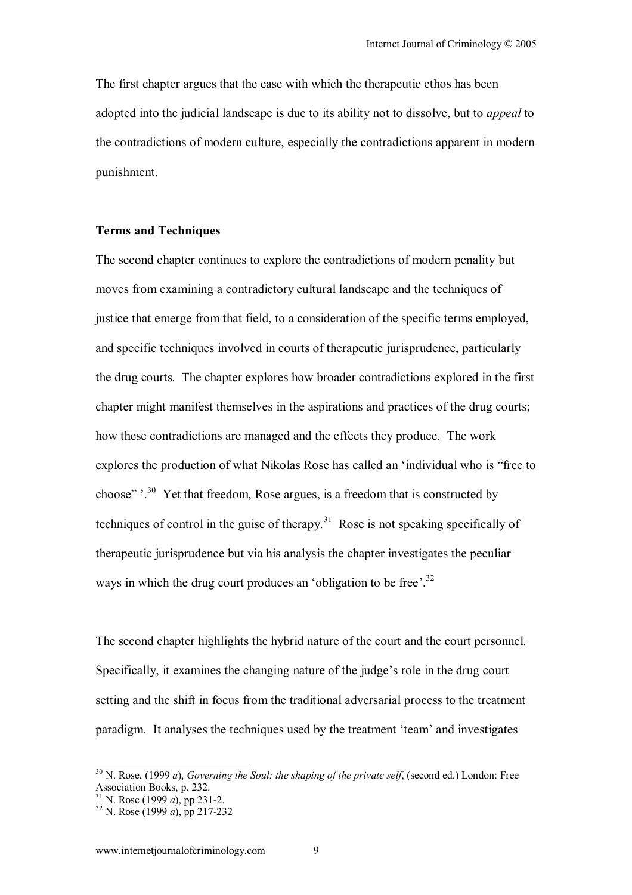The first chapter argues that the ease with which the therapeutic ethos has been adopted into the judicial landscape is due to its ability not to dissolve, but to *appeal* to the contradictions of modern culture, especially the contradictions apparent in modern punishment.

### **Terms and Techniques**

The second chapter continues to explore the contradictions of modern penality but moves from examining a contradictory cultural landscape and the techniques of justice that emerge from that field, to a consideration of the specific terms employed, and specific techniques involved in courts of therapeutic jurisprudence, particularly the drug courts. The chapter explores how broader contradictions explored in the first chapter might manifest themselves in the aspirations and practices of the drug courts; how these contradictions are managed and the effects they produce. The work explores the production of what Nikolas Rose has called an 'individual who is "free to choose" $\cdot$ <sup>30</sup> Yet that freedom, Rose argues, is a freedom that is constructed by techniques of control in the guise of therapy.<sup>31</sup> Rose is not speaking specifically of therapeutic jurisprudence but via his analysis the chapter investigates the peculiar ways in which the drug court produces an 'obligation to be free'.<sup>32</sup>

The second chapter highlights the hybrid nature of the court and the court personnel. Specifically, it examines the changing nature of the judge's role in the drug court setting and the shift in focus from the traditional adversarial process to the treatment paradigm. It analyses the techniques used by the treatment 'team' and investigates

<sup>30</sup> N. Rose, (1999 *a*), *Governing the Soul: the shaping of the private self*, (second ed.) London: Free Association Books, p. 232.

<sup>31</sup> N. Rose (1999 *a*), pp 231-2. 32 N. Rose (1999 *a*), pp 217-232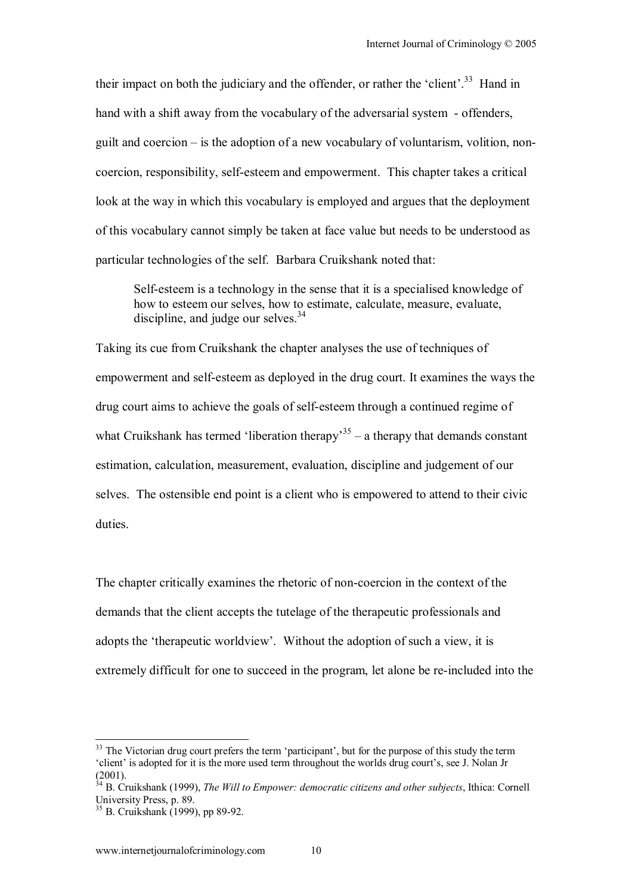their impact on both the judiciary and the offender, or rather the 'client'.<sup>33</sup> Hand in hand with a shift away from the vocabulary of the adversarial system - offenders, guilt and coercion  $-\dot{\text{is}}$  the adoption of a new vocabulary of voluntarism, volition, noncoercion, responsibility, self-esteem and empowerment. This chapter takes a critical look at the way in which this vocabulary is employed and argues that the deployment of this vocabulary cannot simply be taken at face value but needs to be understood as particular technologies of the self. Barbara Cruikshank noted that:

Self-esteem is a technology in the sense that it is a specialised knowledge of how to esteem our selves, how to estimate, calculate, measure, evaluate, discipline, and judge our selves. $34$ 

Taking its cue from Cruikshank the chapter analyses the use of techniques of empowerment and self-esteem as deployed in the drug court. It examines the ways the drug court aims to achieve the goals of self-esteem through a continued regime of what Cruikshank has termed 'liberation therapy<sup>35</sup> – a therapy that demands constant estimation, calculation, measurement, evaluation, discipline and judgement of our selves. The ostensible end point is a client who is empowered to attend to their civic duties.

The chapter critically examines the rhetoric of non-coercion in the context of the demands that the client accepts the tutelage of the therapeutic professionals and adopts the 'therapeutic worldview'. Without the adoption of such a view, it is extremely difficult for one to succeed in the program, let alone be re-included into the

<sup>&</sup>lt;sup>33</sup> The Victorian drug court prefers the term 'participant', but for the purpose of this study the term ëclientí is adopted for it is the more used term throughout the worlds drug courtís, see J. Nolan Jr (2001).

<sup>34</sup> B. Cruikshank (1999), *The Will to Empower: democratic citizens and other subjects*, Ithica: Cornell University Press, p. 89.

<sup>35</sup> B. Cruikshank (1999), pp 89-92.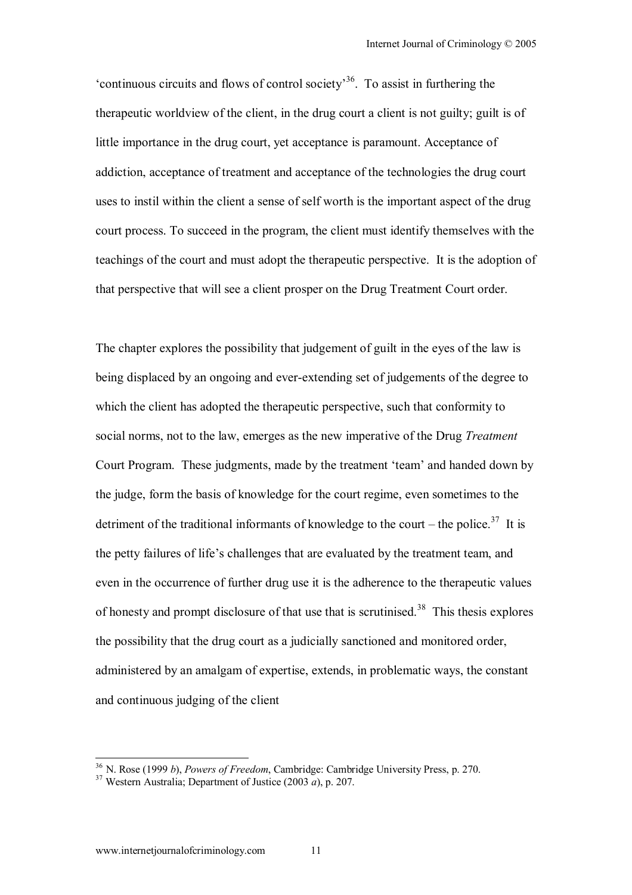$\pm$  continuous circuits and flows of control society<sup>36</sup>. To assist in furthering the therapeutic worldview of the client, in the drug court a client is not guilty; guilt is of little importance in the drug court, yet acceptance is paramount. Acceptance of addiction, acceptance of treatment and acceptance of the technologies the drug court uses to instil within the client a sense of self worth is the important aspect of the drug court process. To succeed in the program, the client must identify themselves with the teachings of the court and must adopt the therapeutic perspective. It is the adoption of that perspective that will see a client prosper on the Drug Treatment Court order.

The chapter explores the possibility that judgement of guilt in the eyes of the law is being displaced by an ongoing and ever-extending set of judgements of the degree to which the client has adopted the therapeutic perspective, such that conformity to social norms, not to the law, emerges as the new imperative of the Drug *Treatment* Court Program. These judgments, made by the treatment 'team' and handed down by the judge, form the basis of knowledge for the court regime, even sometimes to the detriment of the traditional informants of knowledge to the court – the police.<sup>37</sup> It is the petty failures of life's challenges that are evaluated by the treatment team, and even in the occurrence of further drug use it is the adherence to the therapeutic values of honesty and prompt disclosure of that use that is scrutinised.<sup>38</sup> This thesis explores the possibility that the drug court as a judicially sanctioned and monitored order, administered by an amalgam of expertise, extends, in problematic ways, the constant and continuous judging of the client

<sup>36</sup> N. Rose (1999 *b*), *Powers of Freedom*, Cambridge: Cambridge University Press, p. 270. 37 Western Australia; Department of Justice (2003 *a*), p. 207.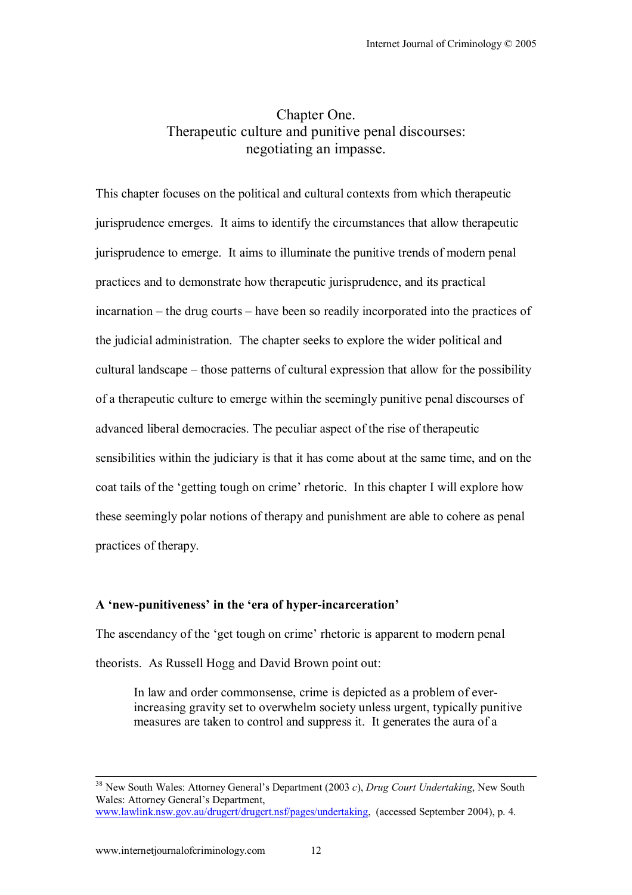# Chapter One. Therapeutic culture and punitive penal discourses: negotiating an impasse.

This chapter focuses on the political and cultural contexts from which therapeutic jurisprudence emerges. It aims to identify the circumstances that allow therapeutic jurisprudence to emerge. It aims to illuminate the punitive trends of modern penal practices and to demonstrate how therapeutic jurisprudence, and its practical  $incar$  the drug courts – have been so readily incorporated into the practices of the judicial administration. The chapter seeks to explore the wider political and cultural landscape  $-$  those patterns of cultural expression that allow for the possibility of a therapeutic culture to emerge within the seemingly punitive penal discourses of advanced liberal democracies. The peculiar aspect of the rise of therapeutic sensibilities within the judiciary is that it has come about at the same time, and on the coat tails of the 'getting tough on crime' rhetoric. In this chapter I will explore how these seemingly polar notions of therapy and punishment are able to cohere as penal practices of therapy.

#### A 'new-punitiveness' in the 'era of hyper-incarceration'

The ascendancy of the 'get tough on crime' rhetoric is apparent to modern penal theorists. As Russell Hogg and David Brown point out:

In law and order commonsense, crime is depicted as a problem of everincreasing gravity set to overwhelm society unless urgent, typically punitive measures are taken to control and suppress it. It generates the aura of a

<sup>&</sup>lt;sup>38</sup> New South Wales: Attorney General's Department (2003 *c*), *Drug Court Undertaking*, New South Wales: Attorney General's Department www.lawlink.nsw.gov.au/drugcrt/drugcrt.nsf/pages/undertaking, (accessed September 2004), p. 4.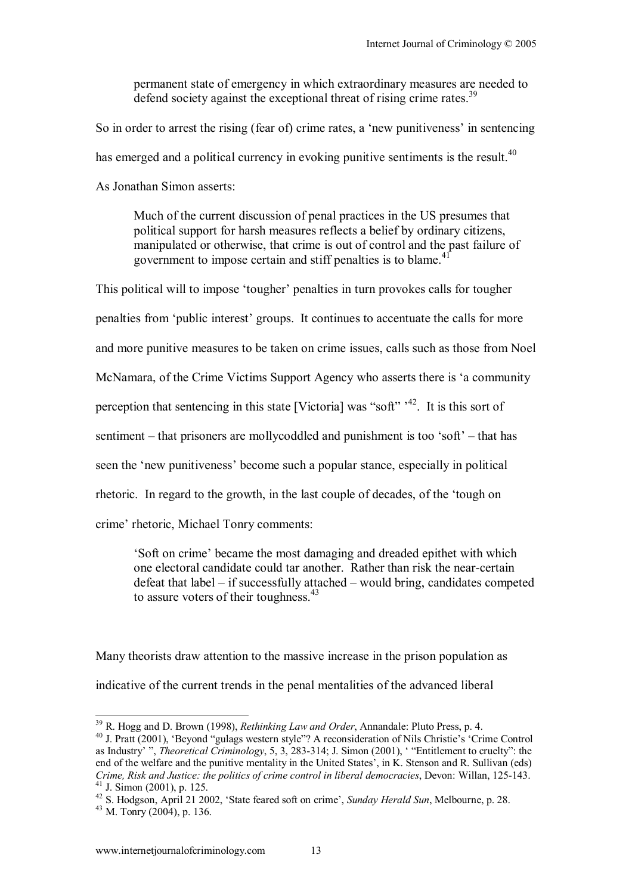permanent state of emergency in which extraordinary measures are needed to defend society against the exceptional threat of rising crime rates.<sup>39</sup>

So in order to arrest the rising (fear of) crime rates, a 'new punitiveness' in sentencing

has emerged and a political currency in evoking punitive sentiments is the result.<sup>40</sup>

As Jonathan Simon asserts:

Much of the current discussion of penal practices in the US presumes that political support for harsh measures reflects a belief by ordinary citizens, manipulated or otherwise, that crime is out of control and the past failure of government to impose certain and stiff penalties is to blame.<sup>41</sup>

This political will to impose 'tougher' penalties in turn provokes calls for tougher penalties from 'public interest' groups. It continues to accentuate the calls for more and more punitive measures to be taken on crime issues, calls such as those from Noel McNamara, of the Crime Victims Support Agency who asserts there is ëa community perception that sentencing in this state [Victoria] was "soft"<sup> $,42$ </sup>. It is this sort of sentiment  $-$  that prisoners are mollycoddled and punishment is too 'soft'  $-$  that has seen the 'new punitiveness' become such a popular stance, especially in political rhetoric. In regard to the growth, in the last couple of decades, of the 'tough on crime' rhetoric, Michael Tonry comments:

Soft on crime' became the most damaging and dreaded epithet with which one electoral candidate could tar another. Rather than risk the near-certain defeat that label  $-$  if successfully attached  $-$  would bring, candidates competed to assure voters of their toughness. $43$ 

Many theorists draw attention to the massive increase in the prison population as indicative of the current trends in the penal mentalities of the advanced liberal

<sup>&</sup>lt;sup>39</sup> R. Hogg and D. Brown (1998), *Rethinking Law and Order*, Annandale: Pluto Press, p. 4.

<sup>&</sup>lt;sup>40</sup> J. Pratt (2001), 'Beyond "gulags western style"? A reconsideration of Nils Christie's 'Crime Control as Industry<sup>2</sup>, *Theoretical Criminology*, 5, 3, 283-314; J. Simon (2001), "Entitlement to cruelty": the end of the welfare and the punitive mentality in the United States<sup> $\cdot$ </sup>, in K. Stenson and R. Sullivan (eds) *Crime, Risk and Justice: the politics of crime control in liberal democracies*, Devon: Willan, 125-143. 41 J. Simon (2001), p. 125.

<sup>42</sup> S. Hodgson, April 21 2002, 'State feared soft on crime', *Sunday Herald Sun*, Melbourne, p. 28.<br><sup>43</sup> M. Tonry (2004), p. 136.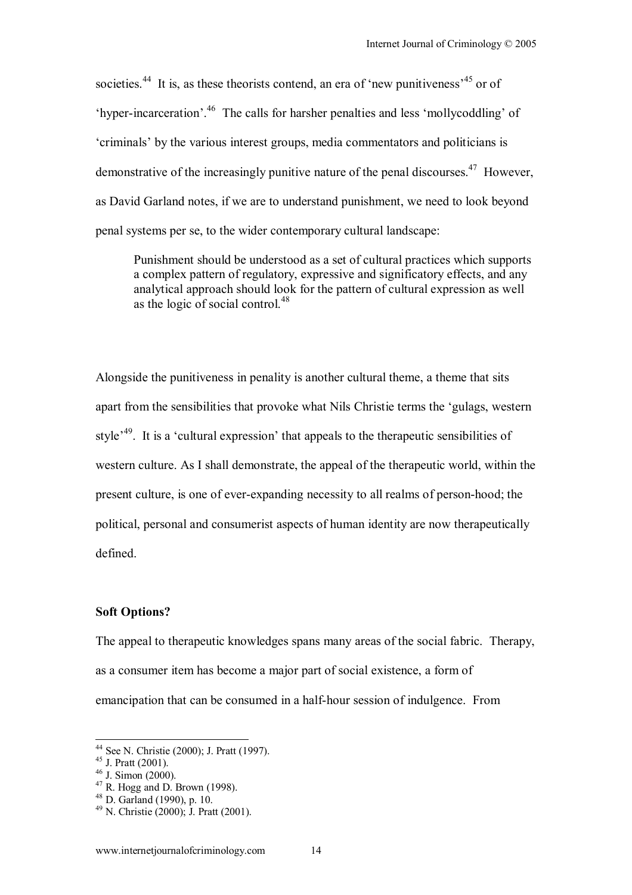societies.<sup>44</sup> It is, as these theorists contend, an era of 'new punitiveness<sup> $45$ </sup> or of 'hyper-incarceration'.<sup>46</sup> The calls for harsher penalties and less 'mollycoddling' of ëcriminalsí by the various interest groups, media commentators and politicians is demonstrative of the increasingly punitive nature of the penal discourses.<sup>47</sup> However, as David Garland notes, if we are to understand punishment, we need to look beyond penal systems per se, to the wider contemporary cultural landscape:

Punishment should be understood as a set of cultural practices which supports a complex pattern of regulatory, expressive and significatory effects, and any analytical approach should look for the pattern of cultural expression as well as the logic of social control.<sup>48</sup>

Alongside the punitiveness in penality is another cultural theme, a theme that sits apart from the sensibilities that provoke what Nils Christie terms the ëgulags, western style<sup>49</sup>. It is a 'cultural expression' that appeals to the therapeutic sensibilities of western culture. As I shall demonstrate, the appeal of the therapeutic world, within the present culture, is one of ever-expanding necessity to all realms of person-hood; the political, personal and consumerist aspects of human identity are now therapeutically defined.

#### **Soft Options?**

The appeal to therapeutic knowledges spans many areas of the social fabric. Therapy, as a consumer item has become a major part of social existence, a form of emancipation that can be consumed in a half-hour session of indulgence. From

<sup>44</sup> See N. Christie (2000); J. Pratt (1997).

 $45$  J. Pratt (2001).

 $46$  J. Simon (2000).

 $47$  R. Hogg and D. Brown (1998).

 $48$  D. Garland (1990), p. 10.

<sup>49</sup> N. Christie (2000); J. Pratt (2001).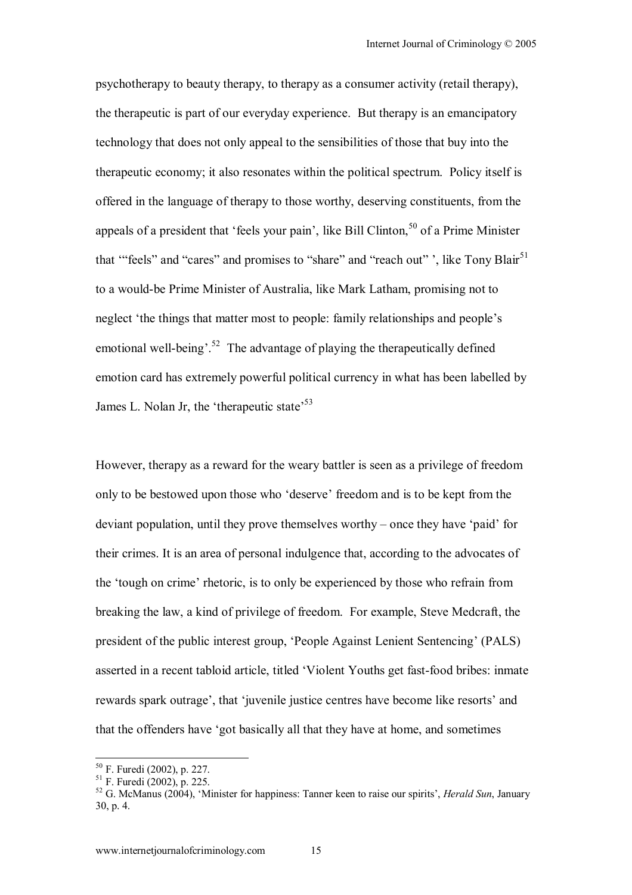psychotherapy to beauty therapy, to therapy as a consumer activity (retail therapy), the therapeutic is part of our everyday experience. But therapy is an emancipatory technology that does not only appeal to the sensibilities of those that buy into the therapeutic economy; it also resonates within the political spectrum. Policy itself is offered in the language of therapy to those worthy, deserving constituents, from the appeals of a president that 'feels your pain', like Bill Clinton,  $50$  of a Prime Minister that "'feels" and "cares" and promises to "share" and "reach out", like Tony Blair<sup>51</sup> to a would-be Prime Minister of Australia, like Mark Latham, promising not to neglect 'the things that matter most to people: family relationships and people's emotional well-being<sup> $52$ </sup>. The advantage of playing the therapeutically defined emotion card has extremely powerful political currency in what has been labelled by James L. Nolan Jr, the 'therapeutic state'<sup>53</sup>

However, therapy as a reward for the weary battler is seen as a privilege of freedom only to be bestowed upon those who 'deserve' freedom and is to be kept from the deviant population, until they prove themselves worthy  $-\text{ once they have 'paid' for}$ their crimes. It is an area of personal indulgence that, according to the advocates of the 'tough on crime' rhetoric, is to only be experienced by those who refrain from breaking the law, a kind of privilege of freedom. For example, Steve Medcraft, the president of the public interest group, ëPeople Against Lenient Sentencingí (PALS) asserted in a recent tabloid article, titled ëViolent Youths get fast-food bribes: inmate rewards spark outrage', that 'juvenile justice centres have become like resorts' and that the offenders have ëgot basically all that they have at home, and sometimes

<sup>50</sup> F. Furedi (2002), p. 227.

<sup>51</sup> F. Furedi (2002), p. 225.

<sup>&</sup>lt;sup>52</sup> G. McManus (2004), 'Minister for happiness: Tanner keen to raise our spirits', *Herald Sun*, January 30, p. 4.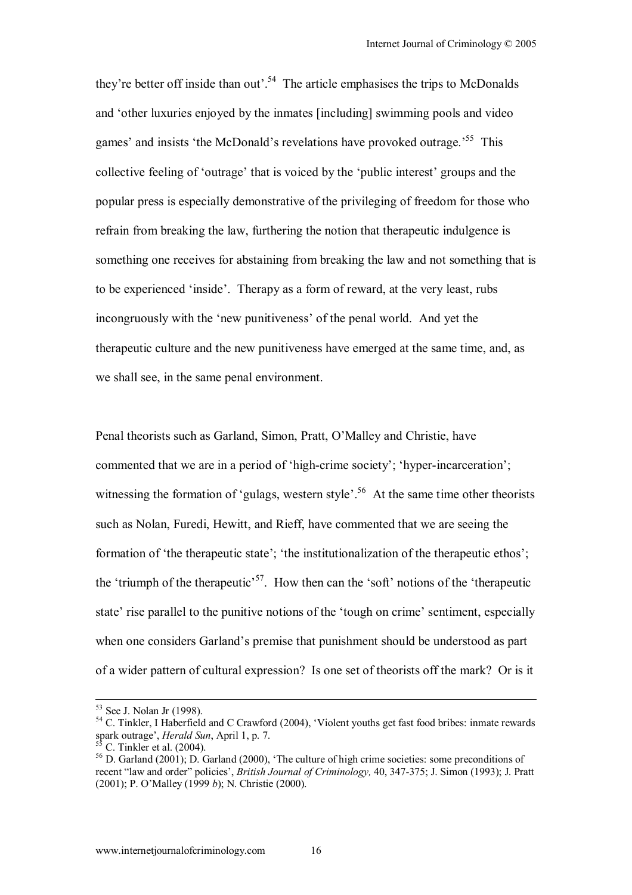they're better off inside than out<sup> $54$ </sup>. The article emphasises the trips to McDonalds and ëother luxuries enjoyed by the inmates [including] swimming pools and video games' and insists 'the McDonald's revelations have provoked outrage.<sup>55</sup> This collective feeling of 'outrage' that is voiced by the 'public interest' groups and the popular press is especially demonstrative of the privileging of freedom for those who refrain from breaking the law, furthering the notion that therapeutic indulgence is something one receives for abstaining from breaking the law and not something that is to be experienced 'inside'. Therapy as a form of reward, at the very least, rubs incongruously with the 'new punitiveness' of the penal world. And yet the therapeutic culture and the new punitiveness have emerged at the same time, and, as we shall see, in the same penal environment.

Penal theorists such as Garland, Simon, Pratt, O'Malley and Christie, have commented that we are in a period of 'high-crime society'; 'hyper-incarceration'; witnessing the formation of 'gulags, western style'.<sup>56</sup> At the same time other theorists such as Nolan, Furedi, Hewitt, and Rieff, have commented that we are seeing the formation of 'the therapeutic state'; 'the institutionalization of the therapeutic ethos'; the 'triumph of the therapeutic<sup>57</sup>. How then can the 'soft' notions of the 'therapeutic state' rise parallel to the punitive notions of the 'tough on crime' sentiment, especially when one considers Garland's premise that punishment should be understood as part of a wider pattern of cultural expression? Is one set of theorists off the mark? Or is it

 <sup>53</sup> See J. Nolan Jr (1998).

<sup>&</sup>lt;sup>54</sup> C. Tinkler, I Haberfield and C Crawford (2004), 'Violent youths get fast food bribes: inmate rewards spark outrage', *Herald Sun*, April 1, p. 7.<br><sup>55</sup> C. Tinkler et al. (2004).

<sup>&</sup>lt;sup>56</sup> D. Garland (2001); D. Garland (2000), 'The culture of high crime societies: some preconditions of recent "law and order" policies', *British Journal of Criminology,* 40, 347-375; J. Simon (1993); J. Pratt (2001); P. O'Malley (1999 *b*); N. Christie (2000).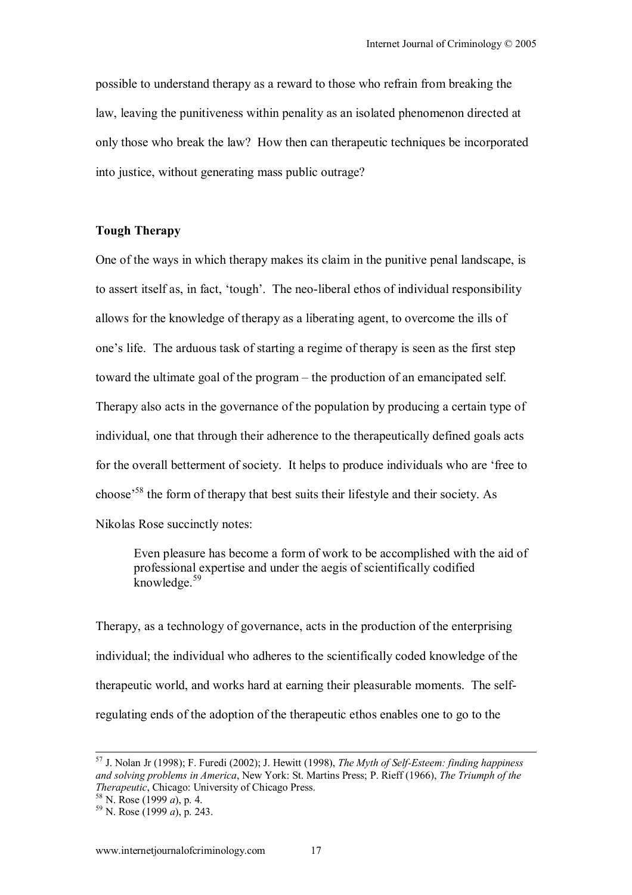possible to understand therapy as a reward to those who refrain from breaking the law, leaving the punitiveness within penality as an isolated phenomenon directed at only those who break the law? How then can therapeutic techniques be incorporated into justice, without generating mass public outrage?

## **Tough Therapy**

One of the ways in which therapy makes its claim in the punitive penal landscape, is to assert itself as, in fact, 'tough'. The neo-liberal ethos of individual responsibility allows for the knowledge of therapy as a liberating agent, to overcome the ills of one's life. The arduous task of starting a regime of therapy is seen as the first step toward the ultimate goal of the program – the production of an emancipated self. Therapy also acts in the governance of the population by producing a certain type of individual, one that through their adherence to the therapeutically defined goals acts for the overall betterment of society. It helps to produce individuals who are 'free to choose<sup>58</sup> the form of therapy that best suits their lifestyle and their society. As Nikolas Rose succinctly notes:

Even pleasure has become a form of work to be accomplished with the aid of professional expertise and under the aegis of scientifically codified knowledge.<sup>59</sup>

Therapy, as a technology of governance, acts in the production of the enterprising individual; the individual who adheres to the scientifically coded knowledge of the therapeutic world, and works hard at earning their pleasurable moments. The selfregulating ends of the adoption of the therapeutic ethos enables one to go to the

 <sup>57</sup> J. Nolan Jr (1998); F. Furedi (2002); J. Hewitt (1998), *The Myth of Self-Esteem: finding happiness and solving problems in America*, New York: St. Martins Press; P. Rieff (1966), *The Triumph of the Therapeutic*, Chicago: University of Chicago Press.<br><sup>58</sup> N. Rose (1999 *a*), p. 4.<br><sup>59</sup> N. Rose (1999 *a*), p. 243.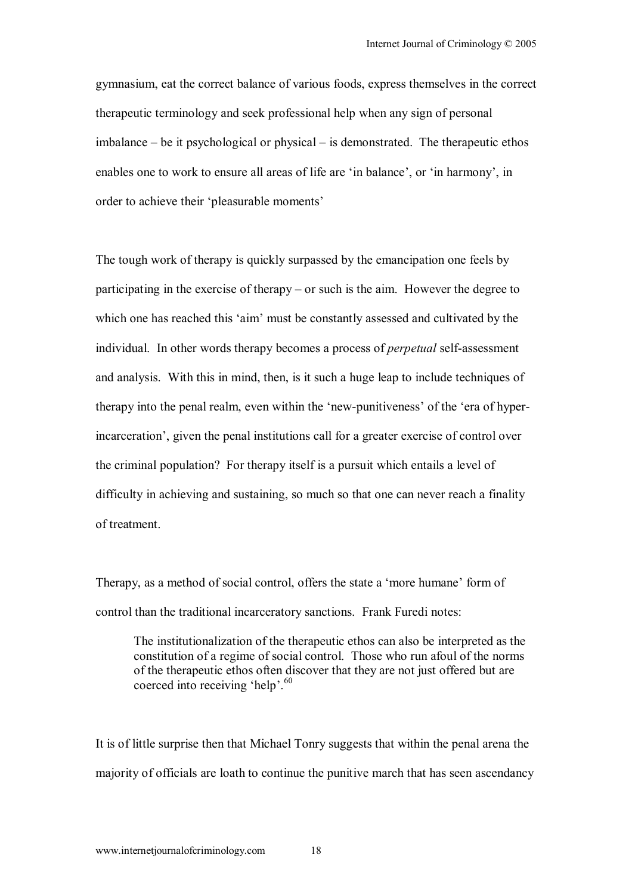gymnasium, eat the correct balance of various foods, express themselves in the correct therapeutic terminology and seek professional help when any sign of personal  $imbalance - be it psychological or physical - is demonstrated. The therapeutic ethos$ enables one to work to ensure all areas of life are 'in balance', or 'in harmony', in order to achieve their 'pleasurable moments'

The tough work of therapy is quickly surpassed by the emancipation one feels by participating in the exercise of therapy  $-$  or such is the aim. However the degree to which one has reached this 'aim' must be constantly assessed and cultivated by the individual. In other words therapy becomes a process of *perpetual* self-assessment and analysis. With this in mind, then, is it such a huge leap to include techniques of therapy into the penal realm, even within the 'new-punitiveness' of the 'era of hyperincarceration<sup>'</sup>, given the penal institutions call for a greater exercise of control over the criminal population? For therapy itself is a pursuit which entails a level of difficulty in achieving and sustaining, so much so that one can never reach a finality of treatment.

Therapy, as a method of social control, offers the state a 'more humane' form of control than the traditional incarceratory sanctions. Frank Furedi notes:

The institutionalization of the therapeutic ethos can also be interpreted as the constitution of a regime of social control. Those who run afoul of the norms of the therapeutic ethos often discover that they are not just offered but are coerced into receiving 'help'. $^{60}$ 

It is of little surprise then that Michael Tonry suggests that within the penal arena the majority of officials are loath to continue the punitive march that has seen ascendancy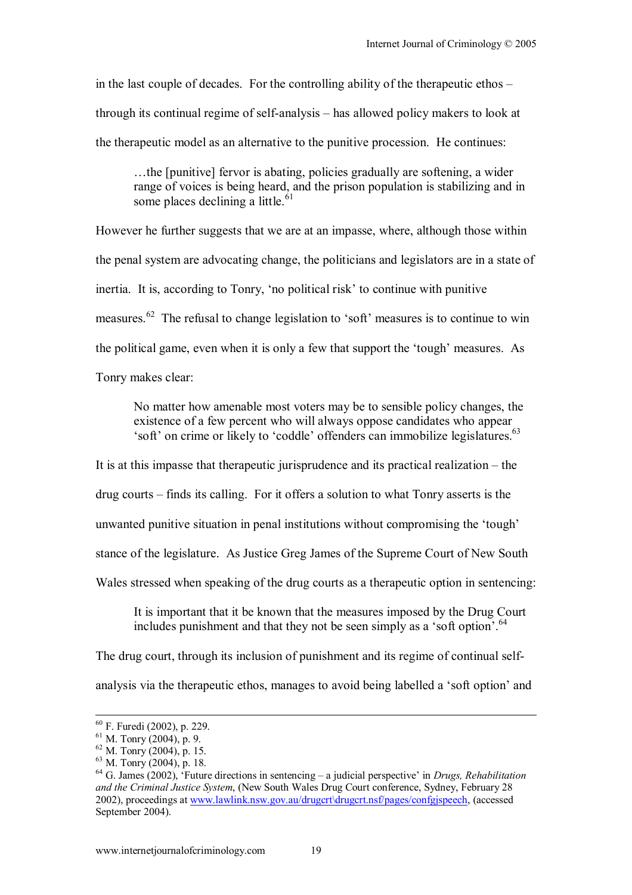in the last couple of decades. For the controlling ability of the therapeutic ethos  $$ through its continual regime of self-analysis – has allowed policy makers to look at the therapeutic model as an alternative to the punitive procession. He continues:

...the [punitive] fervor is abating, policies gradually are softening, a wider range of voices is being heard, and the prison population is stabilizing and in some places declining a little. $61$ 

However he further suggests that we are at an impasse, where, although those within the penal system are advocating change, the politicians and legislators are in a state of inertia. It is, according to Tonry, 'no political risk' to continue with punitive measures.<sup>62</sup> The refusal to change legislation to 'soft' measures is to continue to win the political game, even when it is only a few that support the 'tough' measures. As

Tonry makes clear:

No matter how amenable most voters may be to sensible policy changes, the existence of a few percent who will always oppose candidates who appear 'soft' on crime or likely to 'coddle' offenders can immobilize legislatures.<sup>63</sup>

It is at this impasse that therapeutic jurisprudence and its practical realization  $-$  the

 $drug$  courts  $-\tilde{f}$  finds its calling. For it offers a solution to what Tonry asserts is the

unwanted punitive situation in penal institutions without compromising the 'tough'

stance of the legislature. As Justice Greg James of the Supreme Court of New South

Wales stressed when speaking of the drug courts as a therapeutic option in sentencing:

It is important that it be known that the measures imposed by the Drug Court includes punishment and that they not be seen simply as a 'soft option'.  $64$ 

The drug court, through its inclusion of punishment and its regime of continual selfanalysis via the therapeutic ethos, manages to avoid being labelled a 'soft option' and

 <sup>60</sup> F. Furedi (2002), p. 229.

 $61$  M. Tonry (2004), p. 9.

<sup>62</sup> M. Tonry (2004), p. 15.

 $63$  M. Tonry (2004), p. 18.

<sup>&</sup>lt;sup>64</sup> G. James (2002), <sup>t</sup>Future directions in sentencing – a judicial perspective' in *Drugs, Rehabilitation and the Criminal Justice System*, (New South Wales Drug Court conference, Sydney, February 28 2002), proceedings at www.lawlink.nsw.gov.au/drugcrt\drugcrt.nsf/pages/confgjspeech, (accessed September 2004).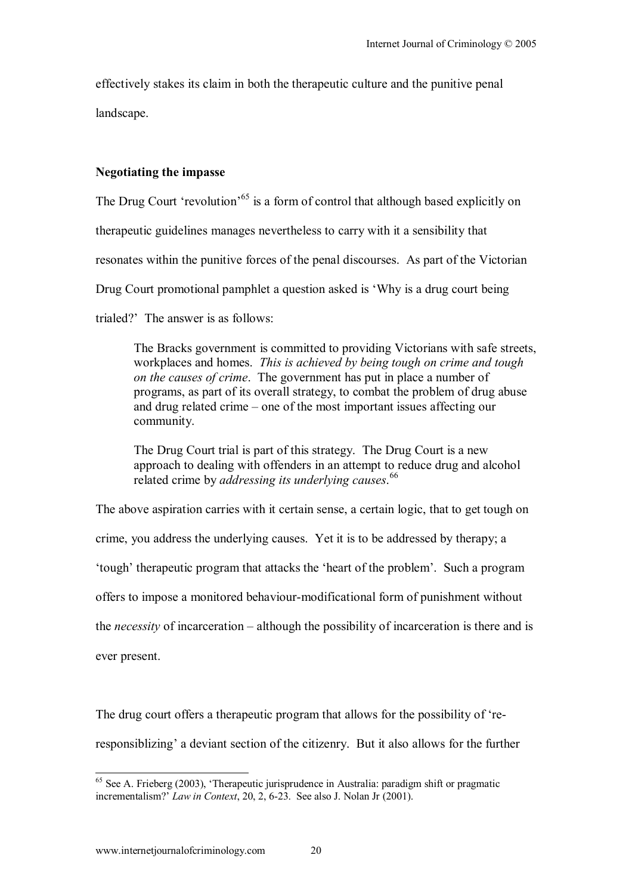effectively stakes its claim in both the therapeutic culture and the punitive penal landscape.

### **Negotiating the impasse**

The Drug Court 'revolution'<sup>65</sup> is a form of control that although based explicitly on

therapeutic guidelines manages nevertheless to carry with it a sensibility that

resonates within the punitive forces of the penal discourses. As part of the Victorian

Drug Court promotional pamphlet a question asked is 'Why is a drug court being

trialed?' The answer is as follows:

The Bracks government is committed to providing Victorians with safe streets, workplaces and homes. *This is achieved by being tough on crime and tough on the causes of crime*. The government has put in place a number of programs, as part of its overall strategy, to combat the problem of drug abuse and drug related crime  $-$  one of the most important issues affecting our community.

The Drug Court trial is part of this strategy. The Drug Court is a new approach to dealing with offenders in an attempt to reduce drug and alcohol related crime by *addressing its underlying causes*. 66

The above aspiration carries with it certain sense, a certain logic, that to get tough on crime, you address the underlying causes. Yet it is to be addressed by therapy; a tough' therapeutic program that attacks the 'heart of the problem'. Such a program offers to impose a monitored behaviour-modificational form of punishment without the *necessity* of incarceration – although the possibility of incarceration is there and is ever present.

The drug court offers a therapeutic program that allows for the possibility of 'reresponsiblizing' a deviant section of the citizenry. But it also allows for the further

 $65$  See A. Frieberg (2003), 'Therapeutic jurisprudence in Australia: paradigm shift or pragmatic incrementalism?' *Law in Context*, 20, 2, 6-23. See also J. Nolan Jr (2001).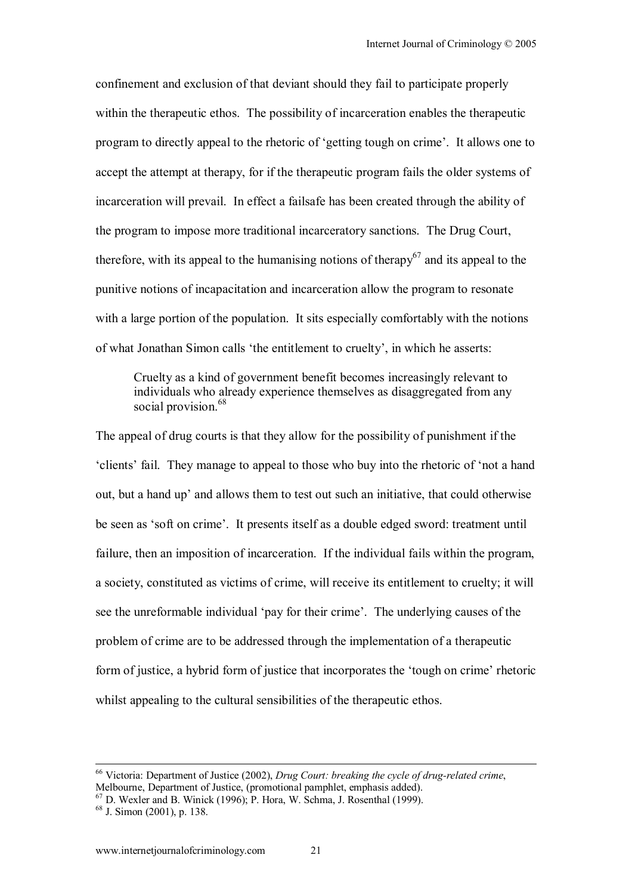confinement and exclusion of that deviant should they fail to participate properly within the therapeutic ethos. The possibility of incarceration enables the therapeutic program to directly appeal to the rhetoric of 'getting tough on crime'. It allows one to accept the attempt at therapy, for if the therapeutic program fails the older systems of incarceration will prevail. In effect a failsafe has been created through the ability of the program to impose more traditional incarceratory sanctions. The Drug Court, therefore, with its appeal to the humanising notions of therapy<sup>67</sup> and its appeal to the punitive notions of incapacitation and incarceration allow the program to resonate with a large portion of the population. It sits especially comfortably with the notions of what Jonathan Simon calls 'the entitlement to cruelty', in which he asserts:

Cruelty as a kind of government benefit becomes increasingly relevant to individuals who already experience themselves as disaggregated from any social provision.<sup>68</sup>

The appeal of drug courts is that they allow for the possibility of punishment if the ëclientsí fail. They manage to appeal to those who buy into the rhetoric of ënot a hand out, but a hand up' and allows them to test out such an initiative, that could otherwise be seen as 'soft on crime'. It presents itself as a double edged sword: treatment until failure, then an imposition of incarceration. If the individual fails within the program, a society, constituted as victims of crime, will receive its entitlement to cruelty; it will see the unreformable individual 'pay for their crime'. The underlying causes of the problem of crime are to be addressed through the implementation of a therapeutic form of justice, a hybrid form of justice that incorporates the 'tough on crime' rhetoric whilst appealing to the cultural sensibilities of the therapeutic ethos.

 <sup>66</sup> Victoria: Department of Justice (2002), *Drug Court: breaking the cycle of drug-related crime*, Melbourne, Department of Justice, (promotional pamphlet, emphasis added).

 $67$  D. Wexler and B. Winick (1996); P. Hora, W. Schma, J. Rosenthal (1999).

 $68$  J. Simon (2001), p. 138.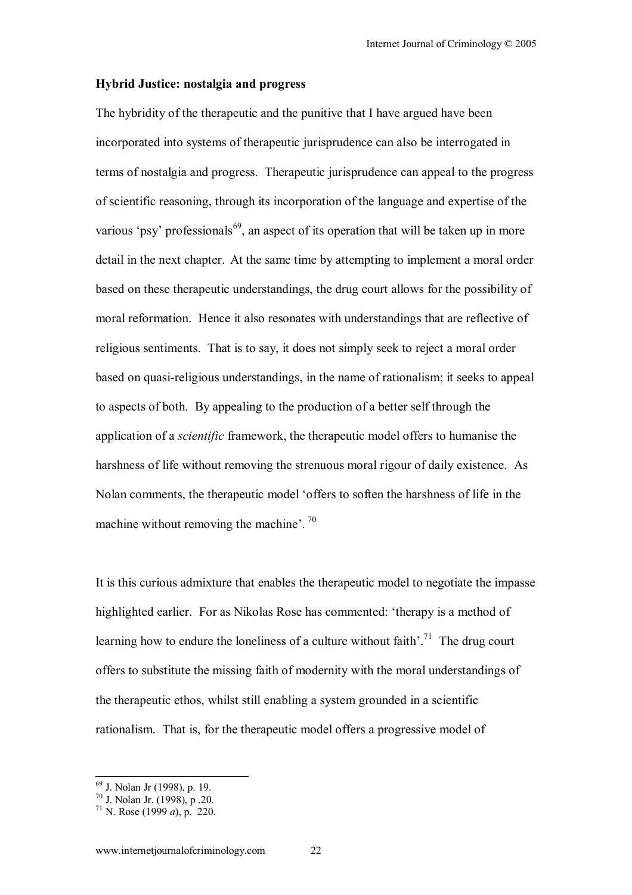#### **Hybrid Justice: nostalgia and progress**

The hybridity of the therapeutic and the punitive that I have argued have been incorporated into systems of therapeutic jurisprudence can also be interrogated in terms of nostalgia and progress. Therapeutic jurisprudence can appeal to the progress of scientific reasoning, through its incorporation of the language and expertise of the various 'psy' professionals<sup>69</sup>, an aspect of its operation that will be taken up in more detail in the next chapter. At the same time by attempting to implement a moral order based on these therapeutic understandings, the drug court allows for the possibility of moral reformation. Hence it also resonates with understandings that are reflective of religious sentiments. That is to say, it does not simply seek to reject a moral order based on quasi-religious understandings, in the name of rationalism; it seeks to appeal to aspects of both. By appealing to the production of a better self through the application of a *scientific* framework, the therapeutic model offers to humanise the harshness of life without removing the strenuous moral rigour of daily existence. As Nolan comments, the therapeutic model ëoffers to soften the harshness of life in the machine without removing the machine<sup> $\cdot$ . <sup>70</sup></sup>

It is this curious admixture that enables the therapeutic model to negotiate the impasse highlighted earlier. For as Nikolas Rose has commented: 'therapy is a method of learning how to endure the loneliness of a culture without faith<sup> $2^1$ </sup>. The drug court offers to substitute the missing faith of modernity with the moral understandings of the therapeutic ethos, whilst still enabling a system grounded in a scientific rationalism. That is, for the therapeutic model offers a progressive model of

<sup>69</sup> J. Nolan Jr (1998), p. 19.

<sup>70</sup> J. Nolan Jr. (1998), p .20.

<sup>&</sup>lt;sup>71</sup> N. Rose (1999 *a*), p. 220.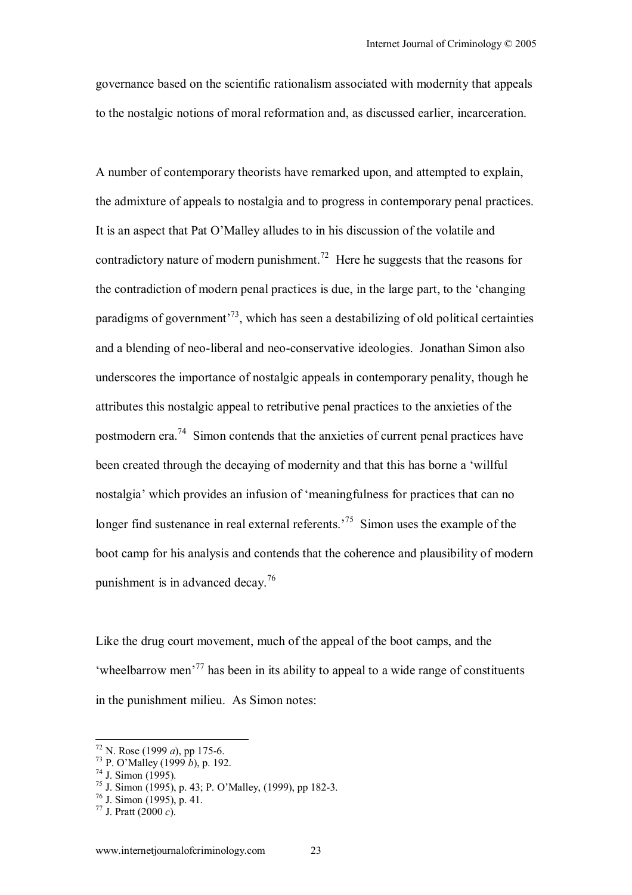governance based on the scientific rationalism associated with modernity that appeals to the nostalgic notions of moral reformation and, as discussed earlier, incarceration.

A number of contemporary theorists have remarked upon, and attempted to explain, the admixture of appeals to nostalgia and to progress in contemporary penal practices. It is an aspect that Pat O'Malley alludes to in his discussion of the volatile and contradictory nature of modern punishment.<sup>72</sup> Here he suggests that the reasons for the contradiction of modern penal practices is due, in the large part, to the 'changing' paradigms of government<sup>73</sup>, which has seen a destabilizing of old political certainties and a blending of neo-liberal and neo-conservative ideologies. Jonathan Simon also underscores the importance of nostalgic appeals in contemporary penality, though he attributes this nostalgic appeal to retributive penal practices to the anxieties of the postmodern era.74 Simon contends that the anxieties of current penal practices have been created through the decaying of modernity and that this has borne a 'willful nostalgia<sup> $\cdot$ </sup> which provides an infusion of 'meaningfulness for practices that can no longer find sustenance in real external referents.<sup>75</sup> Simon uses the example of the boot camp for his analysis and contends that the coherence and plausibility of modern punishment is in advanced decay.<sup>76</sup>

Like the drug court movement, much of the appeal of the boot camps, and the  $k$  wheelbarrow men<sup>77</sup> has been in its ability to appeal to a wide range of constituents in the punishment milieu. As Simon notes:

 $72$  N. Rose (1999 *a*), pp 175-6.

<sup>73</sup> P. O'Malley (1999 *b*), p. 192.<br><sup>74</sup> J. Simon (1995).

<sup>&</sup>lt;sup>75</sup> J. Simon (1995), p. 43; P. O'Malley, (1999), pp 182-3.

 $76$  J. Simon (1995), p. 41.

<sup>&</sup>lt;sup>77</sup> J. Pratt  $\overrightarrow{(2000 \ c)}$ .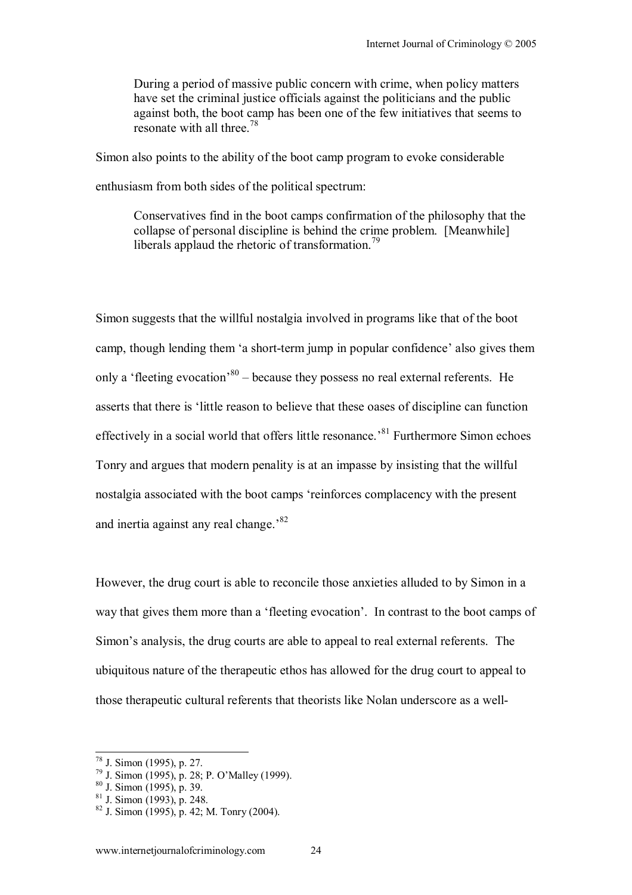During a period of massive public concern with crime, when policy matters have set the criminal justice officials against the politicians and the public against both, the boot camp has been one of the few initiatives that seems to resonate with all three  $^{78}$ 

Simon also points to the ability of the boot camp program to evoke considerable enthusiasm from both sides of the political spectrum:

Conservatives find in the boot camps confirmation of the philosophy that the collapse of personal discipline is behind the crime problem. [Meanwhile] liberals applaud the rhetoric of transformation.<sup>79</sup>

Simon suggests that the willful nostalgia involved in programs like that of the boot camp, though lending them 'a short-term jump in popular confidence' also gives them only a 'fleeting evocation'<sup>80</sup> – because they possess no real external referents. He asserts that there is 'little reason to believe that these oases of discipline can function effectively in a social world that offers little resonance.<sup>81</sup> Furthermore Simon echoes Tonry and argues that modern penality is at an impasse by insisting that the willful nostalgia associated with the boot camps ëreinforces complacency with the present and inertia against any real change.<sup>82</sup>

However, the drug court is able to reconcile those anxieties alluded to by Simon in a way that gives them more than a 'fleeting evocation'. In contrast to the boot camps of Simon's analysis, the drug courts are able to appeal to real external referents. The ubiquitous nature of the therapeutic ethos has allowed for the drug court to appeal to those therapeutic cultural referents that theorists like Nolan underscore as a well-

<sup>78</sup> J. Simon (1995), p. 27.

 $79$  J. Simon (1995), p. 28; P. O'Malley (1999).

<sup>80</sup> J. Simon (1995), p. 39.

 $81$  J. Simon (1993), p. 248.

 $82$  J. Simon (1995), p. 42; M. Tonry (2004).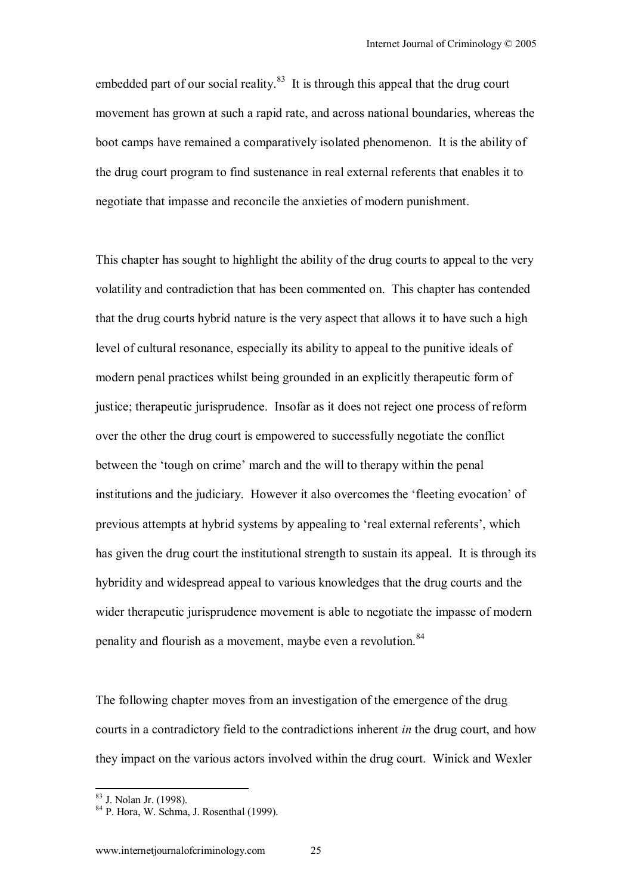embedded part of our social reality. $83$  It is through this appeal that the drug court movement has grown at such a rapid rate, and across national boundaries, whereas the boot camps have remained a comparatively isolated phenomenon. It is the ability of the drug court program to find sustenance in real external referents that enables it to negotiate that impasse and reconcile the anxieties of modern punishment.

This chapter has sought to highlight the ability of the drug courts to appeal to the very volatility and contradiction that has been commented on. This chapter has contended that the drug courts hybrid nature is the very aspect that allows it to have such a high level of cultural resonance, especially its ability to appeal to the punitive ideals of modern penal practices whilst being grounded in an explicitly therapeutic form of justice; therapeutic jurisprudence. Insofar as it does not reject one process of reform over the other the drug court is empowered to successfully negotiate the conflict between the 'tough on crime' march and the will to therapy within the penal institutions and the judiciary. However it also overcomes the 'fleeting evocation' of previous attempts at hybrid systems by appealing to 'real external referents', which has given the drug court the institutional strength to sustain its appeal. It is through its hybridity and widespread appeal to various knowledges that the drug courts and the wider therapeutic jurisprudence movement is able to negotiate the impasse of modern penality and flourish as a movement, maybe even a revolution.<sup>84</sup>

The following chapter moves from an investigation of the emergence of the drug courts in a contradictory field to the contradictions inherent *in* the drug court, and how they impact on the various actors involved within the drug court. Winick and Wexler

<sup>83</sup> J. Nolan Jr. (1998).

 $84 \text{ P}$  Hora, W. Schma, J. Rosenthal (1999).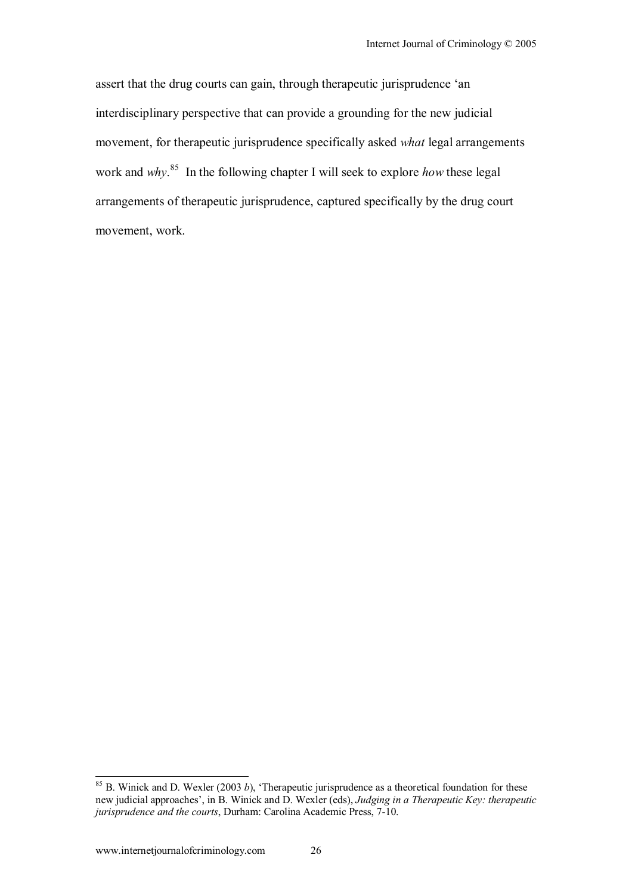assert that the drug courts can gain, through therapeutic jurisprudence 'an interdisciplinary perspective that can provide a grounding for the new judicial movement, for therapeutic jurisprudence specifically asked *what* legal arrangements work and *why*. 85 In the following chapter I will seek to explore *how* these legal arrangements of therapeutic jurisprudence, captured specifically by the drug court movement, work.

 $\overline{\phantom{a}}$ 

 $85$  B. Winick and D. Wexler (2003 *b*), 'Therapeutic jurisprudence as a theoretical foundation for these new judicial approachesí, in B. Winick and D. Wexler (eds), *Judging in a Therapeutic Key: therapeutic jurisprudence and the courts*, Durham: Carolina Academic Press, 7-10.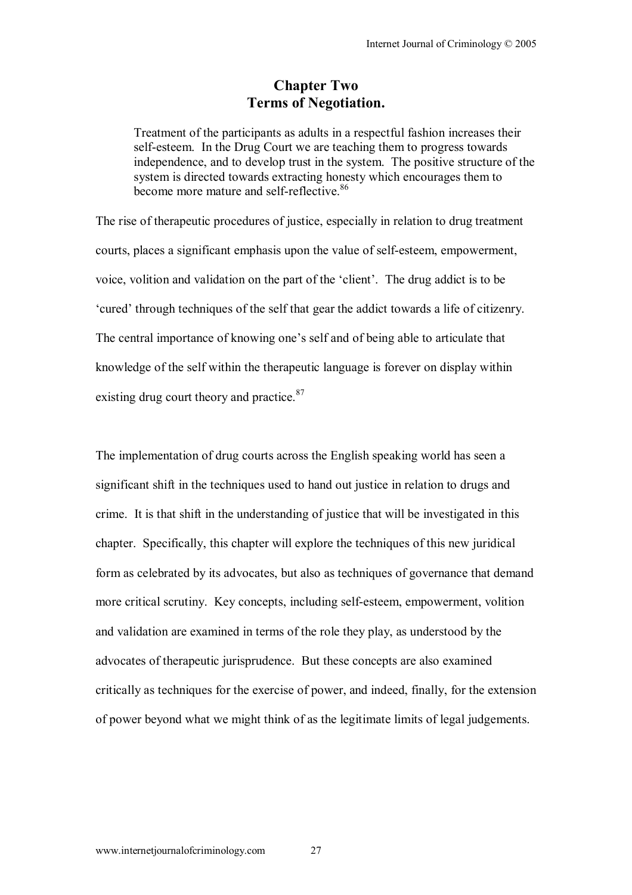## **Chapter Two Terms of Negotiation.**

Treatment of the participants as adults in a respectful fashion increases their self-esteem. In the Drug Court we are teaching them to progress towards independence, and to develop trust in the system. The positive structure of the system is directed towards extracting honesty which encourages them to become more mature and self-reflective.<sup>86</sup>

The rise of therapeutic procedures of justice, especially in relation to drug treatment courts, places a significant emphasis upon the value of self-esteem, empowerment, voice, volition and validation on the part of the 'client'. The drug addict is to be 'cured' through techniques of the self that gear the addict towards a life of citizenry. The central importance of knowing one's self and of being able to articulate that knowledge of the self within the therapeutic language is forever on display within existing drug court theory and practice.<sup>87</sup>

The implementation of drug courts across the English speaking world has seen a significant shift in the techniques used to hand out justice in relation to drugs and crime. It is that shift in the understanding of justice that will be investigated in this chapter. Specifically, this chapter will explore the techniques of this new juridical form as celebrated by its advocates, but also as techniques of governance that demand more critical scrutiny. Key concepts, including self-esteem, empowerment, volition and validation are examined in terms of the role they play, as understood by the advocates of therapeutic jurisprudence. But these concepts are also examined critically as techniques for the exercise of power, and indeed, finally, for the extension of power beyond what we might think of as the legitimate limits of legal judgements.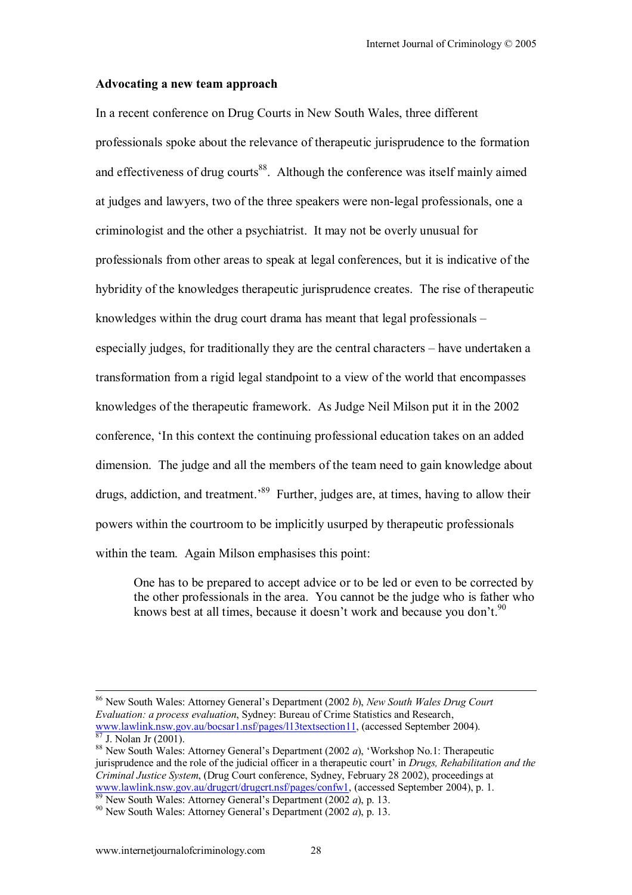#### **Advocating a new team approach**

In a recent conference on Drug Courts in New South Wales, three different professionals spoke about the relevance of therapeutic jurisprudence to the formation and effectiveness of drug courts<sup>88</sup>. Although the conference was itself mainly aimed at judges and lawyers, two of the three speakers were non-legal professionals, one a criminologist and the other a psychiatrist. It may not be overly unusual for professionals from other areas to speak at legal conferences, but it is indicative of the hybridity of the knowledges therapeutic jurisprudence creates. The rise of therapeutic knowledges within the drug court drama has meant that legal professionals  $$ especially judges, for traditionally they are the central characters  $-$  have undertaken a transformation from a rigid legal standpoint to a view of the world that encompasses knowledges of the therapeutic framework. As Judge Neil Milson put it in the 2002 conference, ëIn this context the continuing professional education takes on an added dimension. The judge and all the members of the team need to gain knowledge about drugs, addiction, and treatment.<sup>89</sup> Further, judges are, at times, having to allow their powers within the courtroom to be implicitly usurped by therapeutic professionals within the team. Again Milson emphasises this point:

One has to be prepared to accept advice or to be led or even to be corrected by the other professionals in the area. You cannot be the judge who is father who knows best at all times, because it doesn't work and because you don't.<sup>90</sup>

<sup>&</sup>lt;sup>86</sup> New South Wales: Attorney General's Department (2002 *b*), *New South Wales Drug Court Evaluation: a process evaluation*, Sydney: Bureau of Crime Statistics and Research, www.lawlink.nsw.gov.au/bocsar1.nsf/pages/l13textsection11, (accessed September 2004).<br><sup>87</sup> J. Nolan Jr (2001).

<sup>88</sup> New South Wales: Attorney General's Department (2002 *a*), 'Workshop No.1: Therapeutic jurisprudence and the role of the judicial officer in a therapeutic court' in *Drugs, Rehabilitation and the Criminal Justice System*, (Drug Court conference, Sydney, February 28 2002), proceedings at www.lawlink.nsw.gov.au/drugert/drugert.nsf/pages/confw1, (accessed September 2004), p. 1.<br><sup>89</sup> New South Wales: Attorney General's Department (2002 *a*), p. 13.<br><sup>90</sup> New South Wales: Attorney General's Department (2002 *a*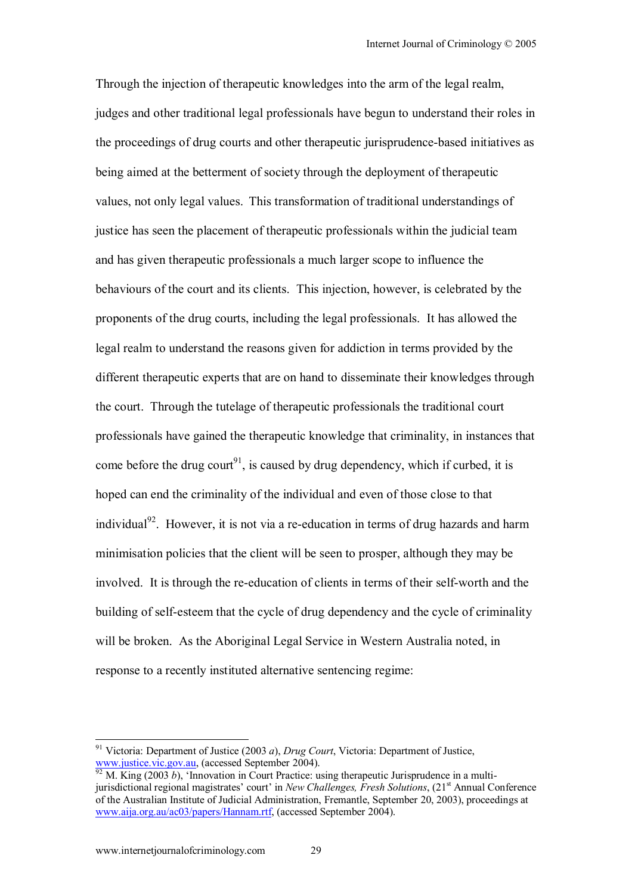Through the injection of therapeutic knowledges into the arm of the legal realm, judges and other traditional legal professionals have begun to understand their roles in the proceedings of drug courts and other therapeutic jurisprudence-based initiatives as being aimed at the betterment of society through the deployment of therapeutic values, not only legal values. This transformation of traditional understandings of justice has seen the placement of therapeutic professionals within the judicial team and has given therapeutic professionals a much larger scope to influence the behaviours of the court and its clients. This injection, however, is celebrated by the proponents of the drug courts, including the legal professionals. It has allowed the legal realm to understand the reasons given for addiction in terms provided by the different therapeutic experts that are on hand to disseminate their knowledges through the court. Through the tutelage of therapeutic professionals the traditional court professionals have gained the therapeutic knowledge that criminality, in instances that come before the drug court<sup>91</sup>, is caused by drug dependency, which if curbed, it is hoped can end the criminality of the individual and even of those close to that individual<sup>92</sup>. However, it is not via a re-education in terms of drug hazards and harm minimisation policies that the client will be seen to prosper, although they may be involved. It is through the re-education of clients in terms of their self-worth and the building of self-esteem that the cycle of drug dependency and the cycle of criminality will be broken. As the Aboriginal Legal Service in Western Australia noted, in response to a recently instituted alternative sentencing regime:

 $\overline{\phantom{a}}$ 

<sup>&</sup>lt;sup>91</sup> Victoria: Department of Justice (2003 *a*), *Drug Court*, Victoria: Department of Justice,<br>www.justice.vic.gov.au, (accessed September 2004).<br><sup>92</sup> M. King (2003 b), 'Innovation in Court Practice: wing there are becau

W. King (2003 *b*), 'Innovation in Court Practice: using therapeutic Jurisprudence in a multijurisdictional regional magistrates' court' in *New Challenges, Fresh Solutions*, (21<sup>st</sup> Annual Conference of the Australian Institute of Judicial Administration, Fremantle, September 20, 2003), proceedings at www.aija.org.au/ac03/papers/Hannam.rtf, (accessed September 2004).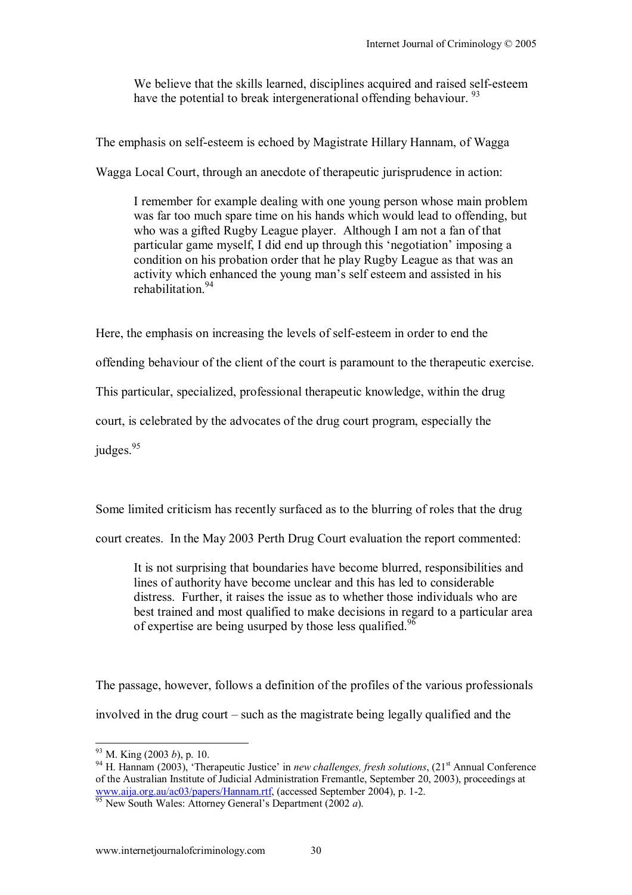We believe that the skills learned, disciplines acquired and raised self-esteem have the potential to break intergenerational offending behaviour.<sup>93</sup>

The emphasis on self-esteem is echoed by Magistrate Hillary Hannam, of Wagga

Wagga Local Court, through an anecdote of therapeutic jurisprudence in action:

I remember for example dealing with one young person whose main problem was far too much spare time on his hands which would lead to offending, but who was a gifted Rugby League player. Although I am not a fan of that particular game myself, I did end up through this 'negotiation' imposing a condition on his probation order that he play Rugby League as that was an activity which enhanced the young man's self esteem and assisted in his rehabilitation<sup>94</sup>

Here, the emphasis on increasing the levels of self-esteem in order to end the

offending behaviour of the client of the court is paramount to the therapeutic exercise.

This particular, specialized, professional therapeutic knowledge, within the drug

court, is celebrated by the advocates of the drug court program, especially the

judges. $95$ 

Some limited criticism has recently surfaced as to the blurring of roles that the drug

court creates. In the May 2003 Perth Drug Court evaluation the report commented:

It is not surprising that boundaries have become blurred, responsibilities and lines of authority have become unclear and this has led to considerable distress. Further, it raises the issue as to whether those individuals who are best trained and most qualified to make decisions in regard to a particular area of expertise are being usurped by those less qualified.<sup>96</sup>

The passage, however, follows a definition of the profiles of the various professionals involved in the drug court  $-$  such as the magistrate being legally qualified and the

 $93$  M. King (2003 b), p. 10.

<sup>&</sup>lt;sup>94</sup> H. Hannam (2003), 'Therapeutic Justice' in *new challenges, fresh solutions*, (21<sup>st</sup> Annual Conference of the Australian Institute of Judicial Administration Fremantle, September 20, 2003), proceedings at www.aija.org.au/ac03/papers/Hannam.rtf, (accessed September 2004), p. 1-2. 95 New South Wales: Attorney Generalís Department (2002 *a*).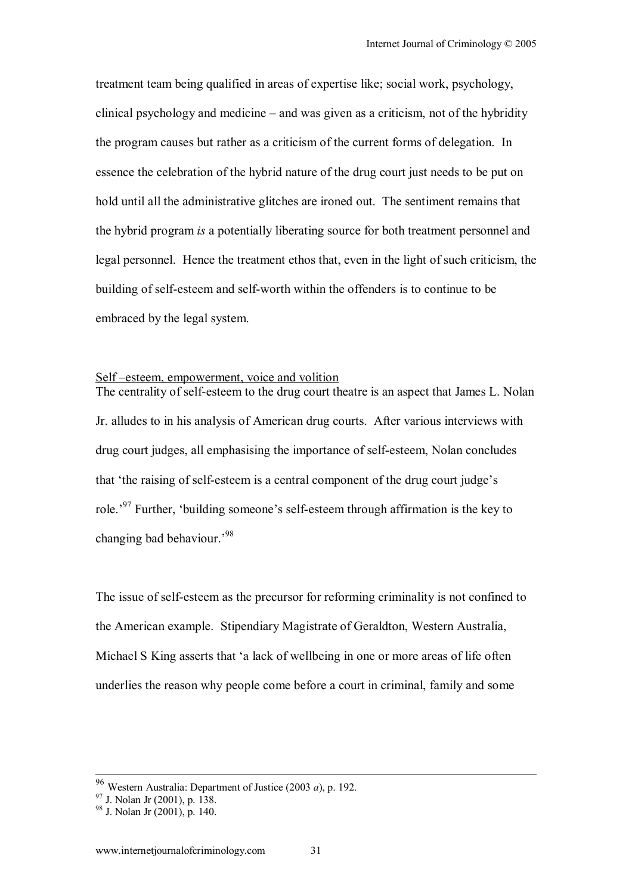treatment team being qualified in areas of expertise like; social work, psychology, clinical psychology and medicine  $-$  and was given as a criticism, not of the hybridity the program causes but rather as a criticism of the current forms of delegation. In essence the celebration of the hybrid nature of the drug court just needs to be put on hold until all the administrative glitches are ironed out. The sentiment remains that the hybrid program *is* a potentially liberating source for both treatment personnel and legal personnel. Hence the treatment ethos that, even in the light of such criticism, the building of self-esteem and self-worth within the offenders is to continue to be embraced by the legal system.

#### Self-esteem, empowerment, voice and volition

The centrality of self-esteem to the drug court theatre is an aspect that James L. Nolan Jr. alludes to in his analysis of American drug courts. After various interviews with drug court judges, all emphasising the importance of self-esteem, Nolan concludes that 'the raising of self-esteem is a central component of the drug court judge's role.<sup>97</sup> Further, 'building someone's self-esteem through affirmation is the key to changing bad behaviour.<sup>98</sup>

The issue of self-esteem as the precursor for reforming criminality is not confined to the American example. Stipendiary Magistrate of Geraldton, Western Australia, Michael S King asserts that ëa lack of wellbeing in one or more areas of life often underlies the reason why people come before a court in criminal, family and some

<sup>&</sup>lt;sup>96</sup> Western Australia: Department of Justice (2003 *a*), p. 192.<br><sup>97</sup> J. Nolan Jr (2001), p. 138.

 $98$  J. Nolan Jr  $(2001)$ , p. 140.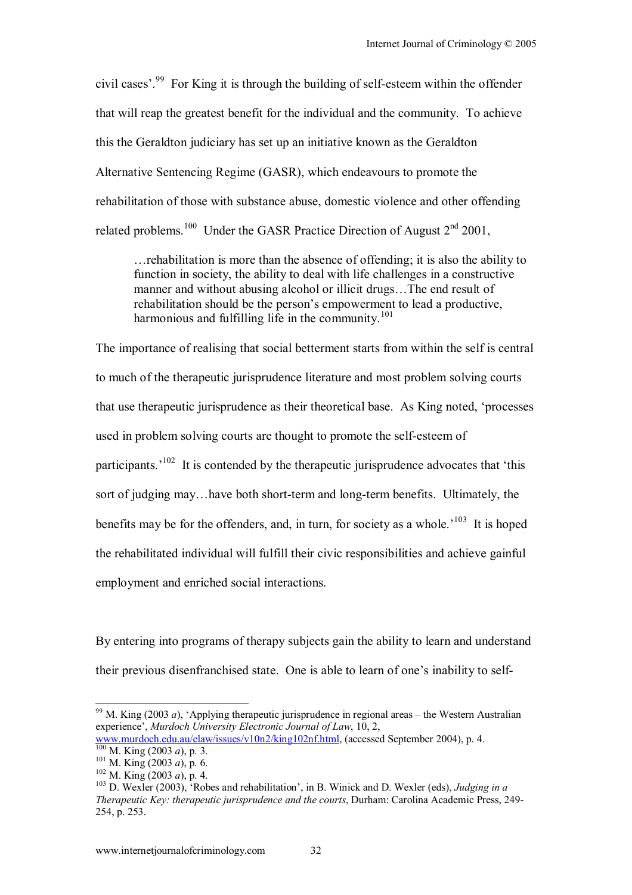civil cases<sup> $299$ </sup> For King it is through the building of self-esteem within the offender that will reap the greatest benefit for the individual and the community. To achieve this the Geraldton judiciary has set up an initiative known as the Geraldton Alternative Sentencing Regime (GASR), which endeavours to promote the rehabilitation of those with substance abuse, domestic violence and other offending related problems.<sup>100</sup> Under the GASR Practice Direction of August  $2<sup>nd</sup>$  2001,

 $\ldots$  rehabilitation is more than the absence of offending; it is also the ability to function in society, the ability to deal with life challenges in a constructive manner and without abusing alcohol or illicit drugs...The end result of rehabilitation should be the person's empowerment to lead a productive. harmonious and fulfilling life in the community.<sup>101</sup>

The importance of realising that social betterment starts from within the self is central to much of the therapeutic jurisprudence literature and most problem solving courts that use therapeutic jurisprudence as their theoretical base. As King noted, ëprocesses used in problem solving courts are thought to promote the self-esteem of participants.<sup> $102$ </sup> It is contended by the therapeutic jurisprudence advocates that 'this sort of judging may...have both short-term and long-term benefits. Ultimately, the benefits may be for the offenders, and, in turn, for society as a whole.<sup>103</sup> It is hoped the rehabilitated individual will fulfill their civic responsibilities and achieve gainful employment and enriched social interactions.

By entering into programs of therapy subjects gain the ability to learn and understand their previous disenfranchised state. One is able to learn of one's inability to self-

<sup>&</sup>lt;sup>99</sup> M. King (2003 *a*), 'Applying therapeutic jurisprudence in regional areas – the Western Australian experience<sup>'</sup>, *Murdoch University Electronic Journal of Law*, 10, 2,

www.murdoch.edu.au/elaw/issues/v10n2/king102nf.html, (accessed September 2004), p. 4.<br>
<sup>100</sup> M. King (2003 *a*), p. 3.<br>
<sup>101</sup> M. King (2003 *a*), p. 6.<br>
<sup>102</sup> M. King (2003 *a*), p. 4.<br>
<sup>102</sup> M. King (2003 *a*), p. 4.<br>
<sup>1</sup>

*Therapeutic Key: therapeutic jurisprudence and the courts*, Durham: Carolina Academic Press, 249- 254, p. 253.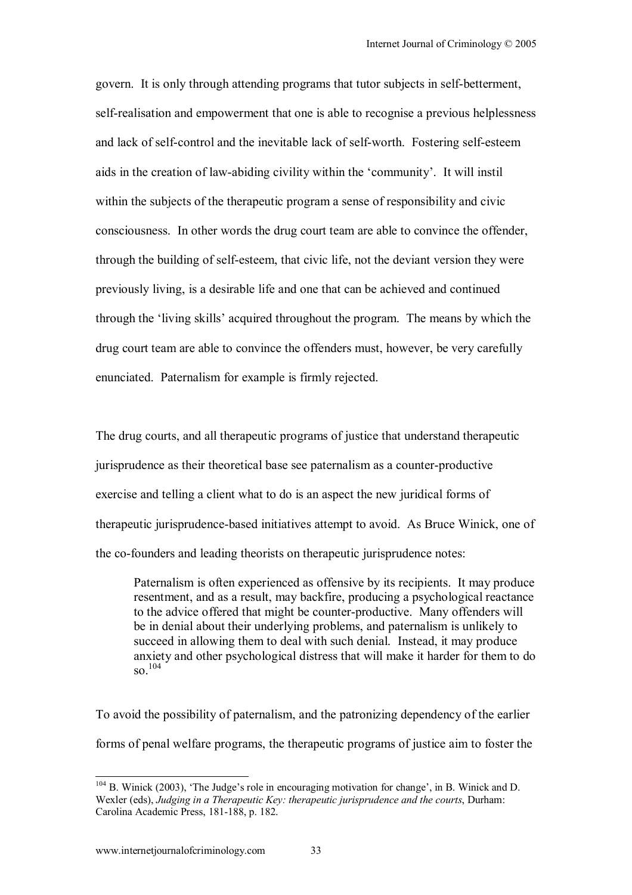govern. It is only through attending programs that tutor subjects in self-betterment, self-realisation and empowerment that one is able to recognise a previous helplessness and lack of self-control and the inevitable lack of self-worth. Fostering self-esteem aids in the creation of law-abiding civility within the 'community'. It will instil within the subjects of the therapeutic program a sense of responsibility and civic consciousness. In other words the drug court team are able to convince the offender, through the building of self-esteem, that civic life, not the deviant version they were previously living, is a desirable life and one that can be achieved and continued through the 'living skills' acquired throughout the program. The means by which the drug court team are able to convince the offenders must, however, be very carefully enunciated. Paternalism for example is firmly rejected.

The drug courts, and all therapeutic programs of justice that understand therapeutic jurisprudence as their theoretical base see paternalism as a counter-productive exercise and telling a client what to do is an aspect the new juridical forms of therapeutic jurisprudence-based initiatives attempt to avoid. As Bruce Winick, one of the co-founders and leading theorists on therapeutic jurisprudence notes:

Paternalism is often experienced as offensive by its recipients. It may produce resentment, and as a result, may backfire, producing a psychological reactance to the advice offered that might be counter-productive. Many offenders will be in denial about their underlying problems, and paternalism is unlikely to succeed in allowing them to deal with such denial. Instead, it may produce anxiety and other psychological distress that will make it harder for them to do  $\frac{104}{104}$ 

To avoid the possibility of paternalism, and the patronizing dependency of the earlier forms of penal welfare programs, the therapeutic programs of justice aim to foster the

 $\overline{\phantom{a}}$ 

 $104$  B. Winick (2003), 'The Judge's role in encouraging motivation for change', in B. Winick and D. Wexler (eds), *Judging in a Therapeutic Key: therapeutic jurisprudence and the courts*, Durham: Carolina Academic Press, 181-188, p. 182.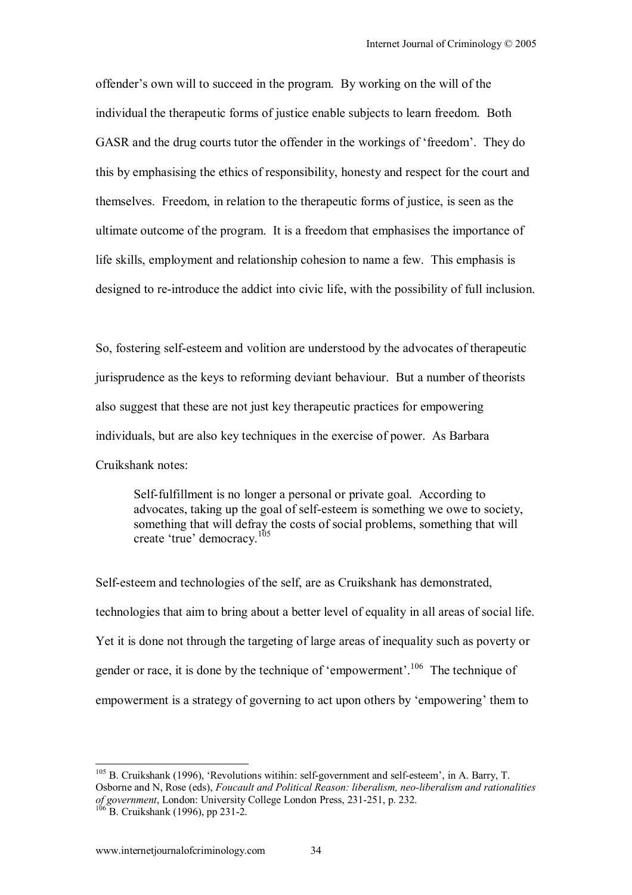offender's own will to succeed in the program. By working on the will of the individual the therapeutic forms of justice enable subjects to learn freedom. Both GASR and the drug courts tutor the offender in the workings of 'freedom'. They do this by emphasising the ethics of responsibility, honesty and respect for the court and themselves. Freedom, in relation to the therapeutic forms of justice, is seen as the ultimate outcome of the program. It is a freedom that emphasises the importance of life skills, employment and relationship cohesion to name a few. This emphasis is designed to re-introduce the addict into civic life, with the possibility of full inclusion.

So, fostering self-esteem and volition are understood by the advocates of therapeutic jurisprudence as the keys to reforming deviant behaviour. But a number of theorists also suggest that these are not just key therapeutic practices for empowering individuals, but are also key techniques in the exercise of power. As Barbara Cruikshank notes:

Self-fulfillment is no longer a personal or private goal. According to advocates, taking up the goal of self-esteem is something we owe to society, something that will defray the costs of social problems, something that will create 'true' democracy.<sup>105</sup>

Self-esteem and technologies of the self, are as Cruikshank has demonstrated, technologies that aim to bring about a better level of equality in all areas of social life. Yet it is done not through the targeting of large areas of inequality such as poverty or gender or race, it is done by the technique of 'empowerment'.<sup>106</sup> The technique of empowerment is a strategy of governing to act upon others by 'empowering' them to

 $105$  B. Cruikshank (1996), 'Revolutions witihin: self-government and self-esteem', in A. Barry, T. Osborne and N, Rose (eds), *Foucault and Political Reason: liberalism, neo-liberalism and rationalities of government*, London: University College London Press, 231-251, p. 232.<br><sup>106</sup> B. Cruikshank (1996), pp 231-2.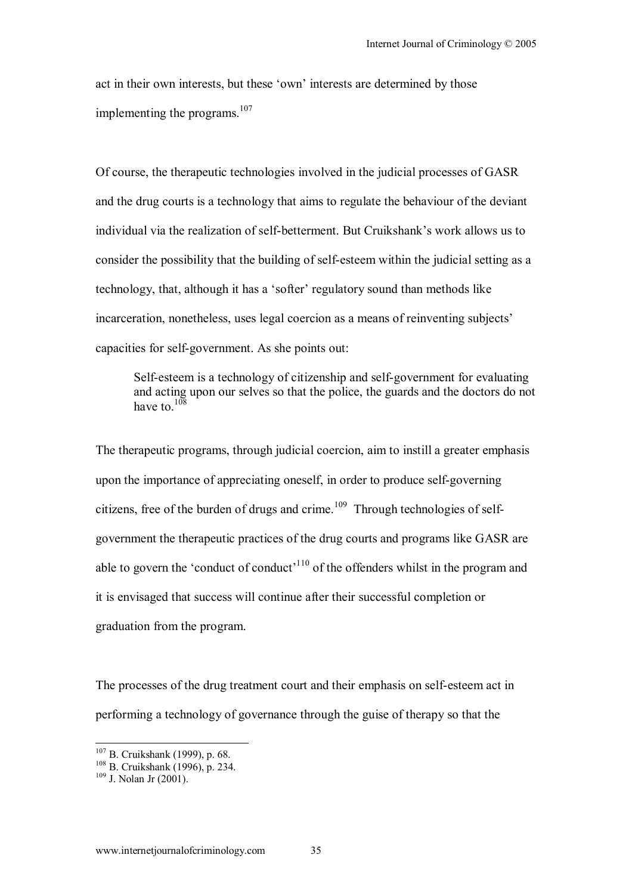act in their own interests, but these 'own' interests are determined by those implementing the programs.<sup>107</sup>

Of course, the therapeutic technologies involved in the judicial processes of GASR and the drug courts is a technology that aims to regulate the behaviour of the deviant individual via the realization of self-betterment. But Cruikshank's work allows us to consider the possibility that the building of self-esteem within the judicial setting as a technology, that, although it has a 'softer' regulatory sound than methods like incarceration, nonetheless, uses legal coercion as a means of reinventing subjects' capacities for self-government. As she points out:

Self-esteem is a technology of citizenship and self-government for evaluating and acting upon our selves so that the police, the guards and the doctors do not have to  $108$ 

The therapeutic programs, through judicial coercion, aim to instill a greater emphasis upon the importance of appreciating oneself, in order to produce self-governing citizens, free of the burden of drugs and crime.<sup>109</sup> Through technologies of selfgovernment the therapeutic practices of the drug courts and programs like GASR are able to govern the 'conduct of conduct'<sup>110</sup> of the offenders whilst in the program and it is envisaged that success will continue after their successful completion or graduation from the program.

The processes of the drug treatment court and their emphasis on self-esteem act in performing a technology of governance through the guise of therapy so that the

<sup>&</sup>lt;sup>107</sup> B. Cruikshank (1999), p. 68.

<sup>108</sup> B. Cruikshank (1996), p. 68.<br><sup>109</sup> B. Cruikshank (1996), p. 234.<br><sup>109</sup> J. Nolan Jr (2001).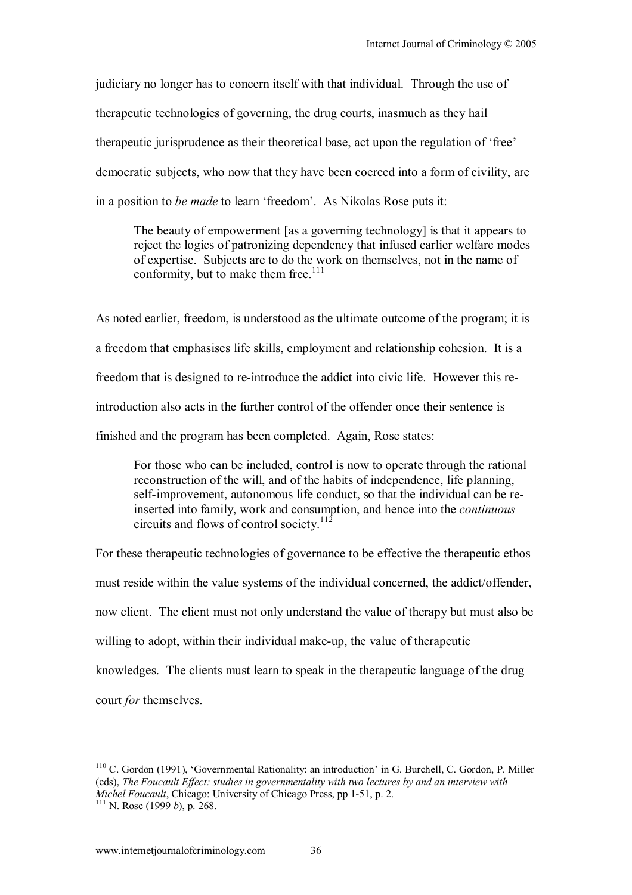judiciary no longer has to concern itself with that individual. Through the use of therapeutic technologies of governing, the drug courts, inasmuch as they hail therapeutic jurisprudence as their theoretical base, act upon the regulation of 'free' democratic subjects, who now that they have been coerced into a form of civility, are in a position to *be made* to learn 'freedom'. As Nikolas Rose puts it:

The beauty of empowerment [as a governing technology] is that it appears to reject the logics of patronizing dependency that infused earlier welfare modes of expertise. Subjects are to do the work on themselves, not in the name of conformity, but to make them free.<sup>111</sup>

As noted earlier, freedom, is understood as the ultimate outcome of the program; it is a freedom that emphasises life skills, employment and relationship cohesion. It is a freedom that is designed to re-introduce the addict into civic life. However this reintroduction also acts in the further control of the offender once their sentence is finished and the program has been completed. Again, Rose states:

For those who can be included, control is now to operate through the rational reconstruction of the will, and of the habits of independence, life planning, self-improvement, autonomous life conduct, so that the individual can be reinserted into family, work and consumption, and hence into the *continuous* circuits and flows of control society.112

For these therapeutic technologies of governance to be effective the therapeutic ethos must reside within the value systems of the individual concerned, the addict/offender, now client. The client must not only understand the value of therapy but must also be willing to adopt, within their individual make-up, the value of therapeutic knowledges. The clients must learn to speak in the therapeutic language of the drug court *for* themselves.

<sup>&</sup>lt;sup>110</sup> C. Gordon (1991), 'Governmental Rationality: an introduction' in G. Burchell, C. Gordon, P. Miller (eds), *The Foucault Effect: studies in governmentality with two lectures by and an interview with Michel Foucault*, Chicago: University of Chicago Press, pp 1-51, p. 2. 111 N. Rose (1999 *b*), p. 268.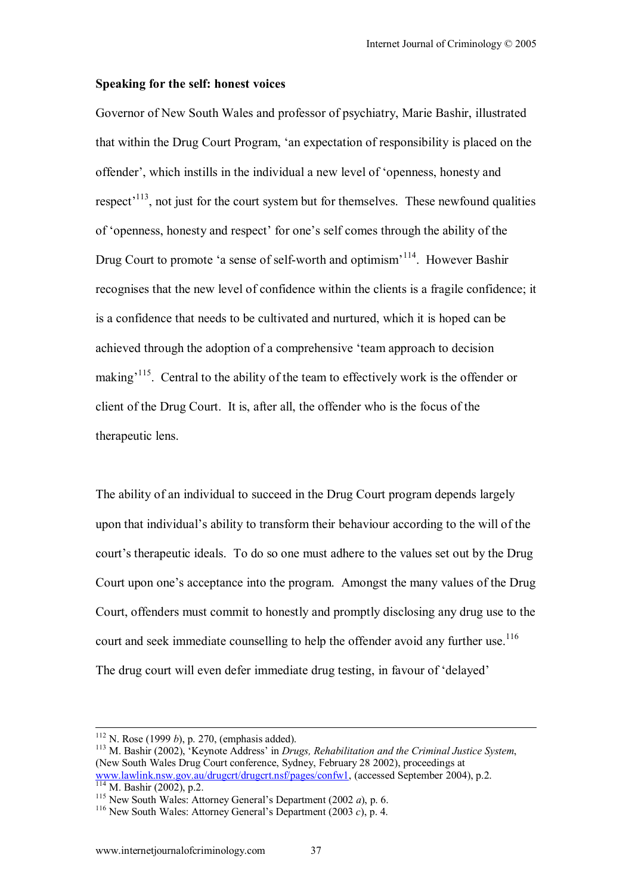#### **Speaking for the self: honest voices**

Governor of New South Wales and professor of psychiatry, Marie Bashir, illustrated that within the Drug Court Program, ëan expectation of responsibility is placed on the offender', which instills in the individual a new level of 'openness, honesty and respect<sup> $113$ </sup>, not just for the court system but for themselves. These newfound qualities of 'openness, honesty and respect' for one's self comes through the ability of the Drug Court to promote 'a sense of self-worth and optimism<sup>3114</sup>. However Bashir recognises that the new level of confidence within the clients is a fragile confidence; it is a confidence that needs to be cultivated and nurtured, which it is hoped can be achieved through the adoption of a comprehensive ëteam approach to decision making<sup>115</sup>. Central to the ability of the team to effectively work is the offender or client of the Drug Court. It is, after all, the offender who is the focus of the therapeutic lens.

The ability of an individual to succeed in the Drug Court program depends largely upon that individual's ability to transform their behaviour according to the will of the court's therapeutic ideals. To do so one must adhere to the values set out by the Drug Court upon one's acceptance into the program. Amongst the many values of the Drug Court, offenders must commit to honestly and promptly disclosing any drug use to the court and seek immediate counselling to help the offender avoid any further use.<sup>116</sup> The drug court will even defer immediate drug testing, in favour of 'delayed'

<sup>112</sup> N. Rose (1999 *b*), p. 270, (emphasis added).<br><sup>113</sup> M. Bashir (2002), 'Keynote Address' in *Drugs, Rehabilitation and the Criminal Justice System*, (New South Wales Drug Court conference, Sydney, February 28 2002), proceedings at www.lawlink.nsw.gov.au/drugert/drugert.nsf/pages/confw1, (accessed September 2004), p.2. <sup>114</sup> M. Bashir (2002), p.2.<br><sup>115</sup> New South Wales: Attorney General's Department (2002 *a*), p. 6.<br><sup>116</sup> New South Wales: Attorney General's Department (2003 *c*), p. 4.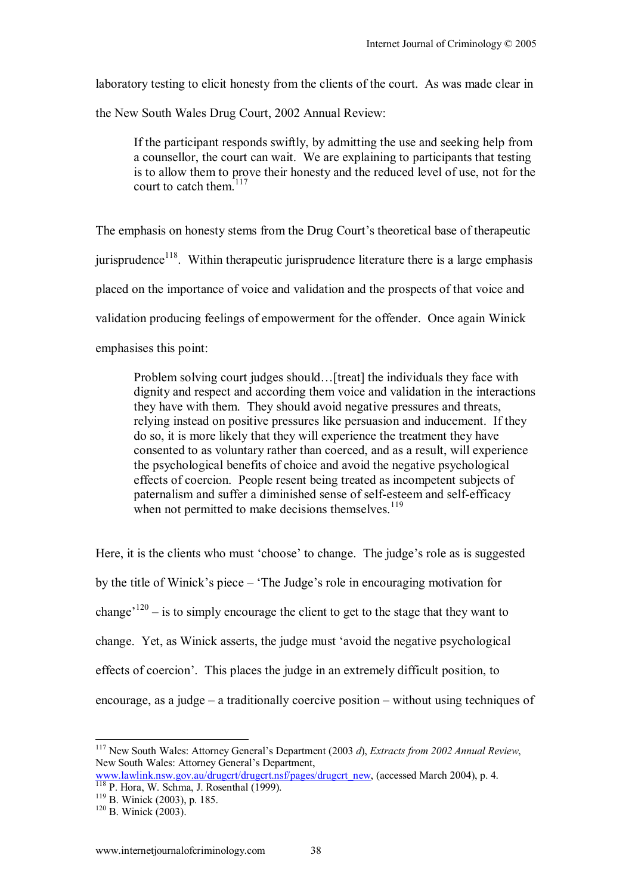laboratory testing to elicit honesty from the clients of the court. As was made clear in

the New South Wales Drug Court, 2002 Annual Review:

If the participant responds swiftly, by admitting the use and seeking help from a counsellor, the court can wait. We are explaining to participants that testing is to allow them to prove their honesty and the reduced level of use, not for the court to catch them.<sup>117</sup>

The emphasis on honesty stems from the Drug Court's theoretical base of therapeutic jurisprudence<sup>118</sup>. Within therapeutic jurisprudence literature there is a large emphasis placed on the importance of voice and validation and the prospects of that voice and validation producing feelings of empowerment for the offender. Once again Winick emphasises this point:

Problem solving court judges should... [treat] the individuals they face with dignity and respect and according them voice and validation in the interactions they have with them. They should avoid negative pressures and threats, relying instead on positive pressures like persuasion and inducement. If they do so, it is more likely that they will experience the treatment they have consented to as voluntary rather than coerced, and as a result, will experience the psychological benefits of choice and avoid the negative psychological effects of coercion. People resent being treated as incompetent subjects of paternalism and suffer a diminished sense of self-esteem and self-efficacy when not permitted to make decisions themselves. $119$ 

Here, it is the clients who must 'choose' to change. The judge's role as is suggested by the title of Winick's piece – 'The Judge's role in encouraging motivation for change<sup> $120$ </sup> – is to simply encourage the client to get to the stage that they want to change. Yet, as Winick asserts, the judge must ëavoid the negative psychological effects of coercion<sup>7</sup>. This places the judge in an extremely difficult position, to encourage, as a judge  $-\alpha$  traditionally coercive position  $-\text{without using techniques of }$ 

 $\overline{\phantom{a}}$ 

<sup>&</sup>lt;sup>117</sup> New South Wales: Attorney General's Department (2003 d), *Extracts from 2002 Annual Review*, New South Wales: Attorney General's Department,

www.lawlink.nsw.gov.au/drugcrt/drugcrt.nsf/pages/drugcrt\_new, (accessed March 2004), p. 4.<br><sup>118</sup> P. Hora, W. Schma, J. Rosenthal (1999). <sup>119</sup> B. Winick (2003), p. 185. <sup>120</sup> B. Winick (2003).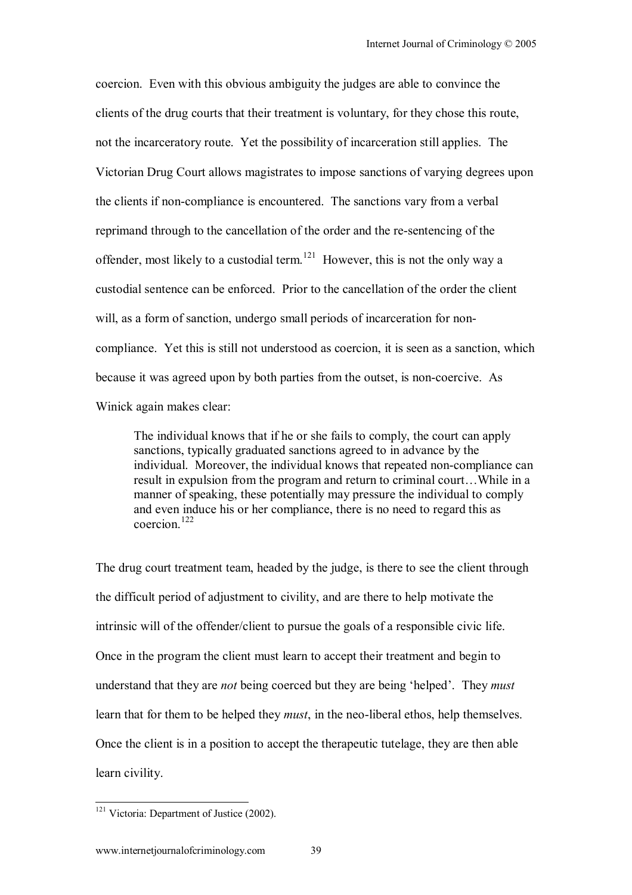coercion. Even with this obvious ambiguity the judges are able to convince the clients of the drug courts that their treatment is voluntary, for they chose this route, not the incarceratory route. Yet the possibility of incarceration still applies. The Victorian Drug Court allows magistrates to impose sanctions of varying degrees upon the clients if non-compliance is encountered. The sanctions vary from a verbal reprimand through to the cancellation of the order and the re-sentencing of the offender, most likely to a custodial term.<sup>121</sup> However, this is not the only way a custodial sentence can be enforced. Prior to the cancellation of the order the client will, as a form of sanction, undergo small periods of incarceration for noncompliance. Yet this is still not understood as coercion, it is seen as a sanction, which because it was agreed upon by both parties from the outset, is non-coercive. As Winick again makes clear:

The individual knows that if he or she fails to comply, the court can apply sanctions, typically graduated sanctions agreed to in advance by the individual. Moreover, the individual knows that repeated non-compliance can result in expulsion from the program and return to criminal court...While in a manner of speaking, these potentially may pressure the individual to comply and even induce his or her compliance, there is no need to regard this as coercion $122$ 

The drug court treatment team, headed by the judge, is there to see the client through the difficult period of adjustment to civility, and are there to help motivate the intrinsic will of the offender/client to pursue the goals of a responsible civic life. Once in the program the client must learn to accept their treatment and begin to understand that they are *not* being coerced but they are being 'helped'. They *must* learn that for them to be helped they *must*, in the neo-liberal ethos, help themselves. Once the client is in a position to accept the therapeutic tutelage, they are then able learn civility.

 $\overline{\phantom{a}}$ 

<sup>&</sup>lt;sup>121</sup> Victoria: Department of Justice (2002).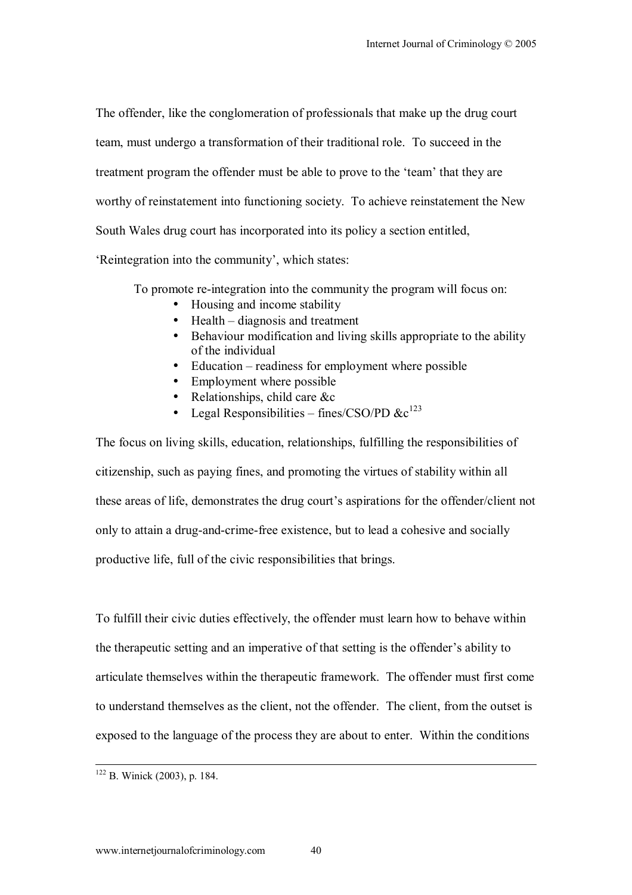The offender, like the conglomeration of professionals that make up the drug court team, must undergo a transformation of their traditional role. To succeed in the treatment program the offender must be able to prove to the 'team' that they are worthy of reinstatement into functioning society. To achieve reinstatement the New South Wales drug court has incorporated into its policy a section entitled,

'Reintegration into the community', which states:

To promote re-integration into the community the program will focus on:

- Housing and income stability
- $\bullet$  Health diagnosis and treatment
- Behaviour modification and living skills appropriate to the ability of the individual
- $\bullet$  Education readiness for employment where possible
- Employment where possible
- Relationships, child care &c
- Legal Responsibilities fines/CSO/PD  $\&c^{123}$

The focus on living skills, education, relationships, fulfilling the responsibilities of citizenship, such as paying fines, and promoting the virtues of stability within all these areas of life, demonstrates the drug court's aspirations for the offender/client not only to attain a drug-and-crime-free existence, but to lead a cohesive and socially productive life, full of the civic responsibilities that brings.

To fulfill their civic duties effectively, the offender must learn how to behave within the therapeutic setting and an imperative of that setting is the offender's ability to articulate themselves within the therapeutic framework. The offender must first come to understand themselves as the client, not the offender. The client, from the outset is exposed to the language of the process they are about to enter. Within the conditions

 <sup>122</sup> B. Winick (2003), p. 184.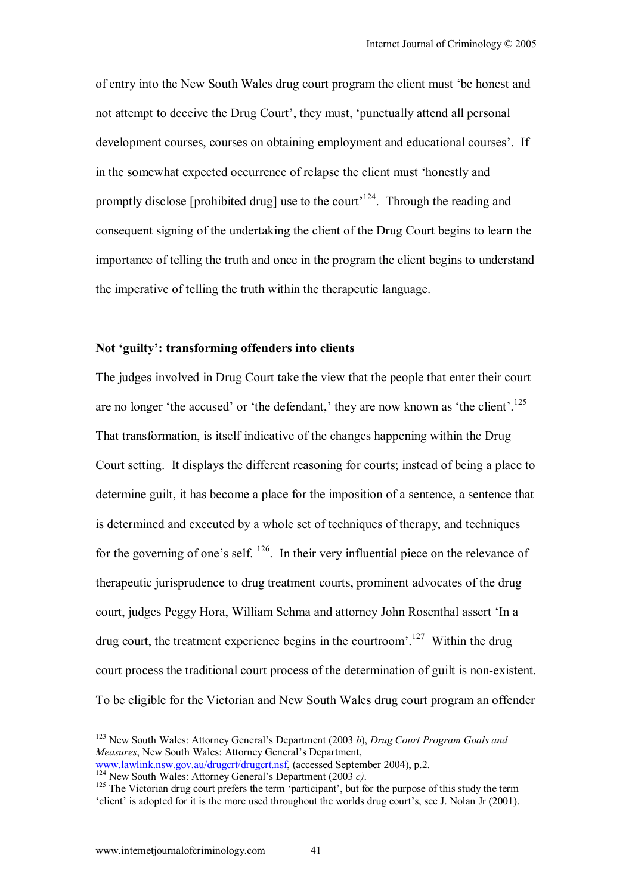of entry into the New South Wales drug court program the client must ëbe honest and not attempt to deceive the Drug Court', they must, 'punctually attend all personal development courses, courses on obtaining employment and educational courses'. If in the somewhat expected occurrence of relapse the client must ëhonestly and promptly disclose [prohibited drug] use to the court<sup> $124$ </sup>. Through the reading and consequent signing of the undertaking the client of the Drug Court begins to learn the importance of telling the truth and once in the program the client begins to understand the imperative of telling the truth within the therapeutic language.

### Not 'guilty': transforming offenders into clients

The judges involved in Drug Court take the view that the people that enter their court are no longer 'the accused' or 'the defendant,' they are now known as 'the client'.<sup>125</sup> That transformation, is itself indicative of the changes happening within the Drug Court setting. It displays the different reasoning for courts; instead of being a place to determine guilt, it has become a place for the imposition of a sentence, a sentence that is determined and executed by a whole set of techniques of therapy, and techniques for the governing of one's self.  $^{126}$ . In their very influential piece on the relevance of therapeutic jurisprudence to drug treatment courts, prominent advocates of the drug court, judges Peggy Hora, William Schma and attorney John Rosenthal assert 'In a drug court, the treatment experience begins in the courtroom<sup> $127$ </sup> Within the drug court process the traditional court process of the determination of guilt is non-existent. To be eligible for the Victorian and New South Wales drug court program an offender

<sup>&</sup>lt;sup>123</sup> New South Wales: Attorney General's Department (2003 *b*), *Drug Court Program Goals and Measures*, New South Wales: Attorney General's Department,

www.lawlink.nsw.gov.au/drugert/drugert.nsf, (accessed September 2004), p.2.<br>
<sup>124</sup> New South Wales: Attorney General's Department (2003 *c*).<br>
<sup>125</sup> The Victorian drug court prefers the term 'participant', but for the pur

<sup>&#</sup>x27;client' is adopted for it is the more used throughout the worlds drug court's, see J. Nolan Jr (2001).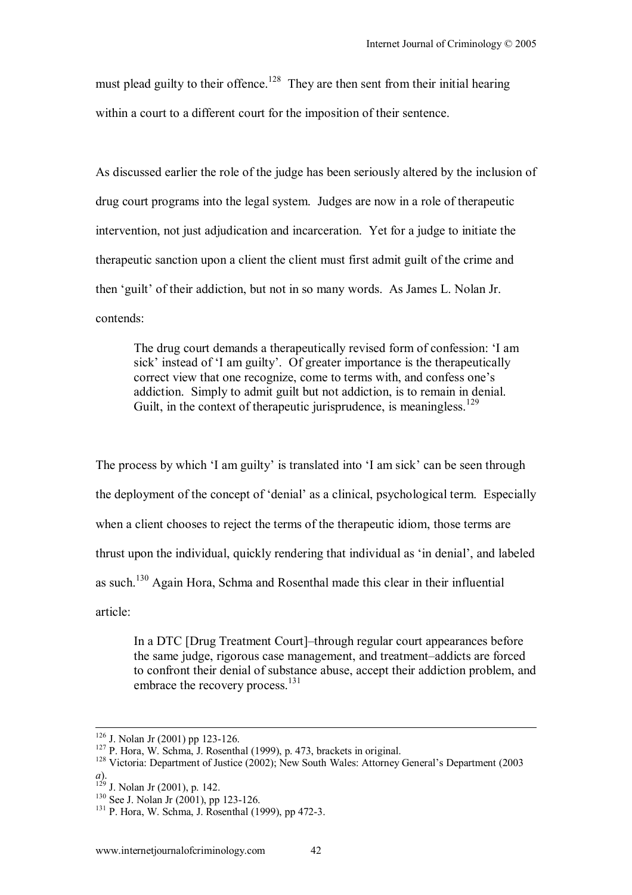must plead guilty to their offence.<sup>128</sup> They are then sent from their initial hearing within a court to a different court for the imposition of their sentence.

As discussed earlier the role of the judge has been seriously altered by the inclusion of drug court programs into the legal system. Judges are now in a role of therapeutic intervention, not just adjudication and incarceration. Yet for a judge to initiate the therapeutic sanction upon a client the client must first admit guilt of the crime and then 'guilt' of their addiction, but not in so many words. As James L. Nolan Jr. contends:

The drug court demands a therapeutically revised form of confession: ëI am sick' instead of 'I am guilty'. Of greater importance is the therapeutically correct view that one recognize, come to terms with, and confess one's addiction. Simply to admit guilt but not addiction, is to remain in denial. Guilt, in the context of therapeutic jurisprudence, is meaningless.<sup>129</sup>

The process by which 'I am guilty' is translated into 'I am sick' can be seen through the deployment of the concept of 'denial' as a clinical, psychological term. Especially when a client chooses to reject the terms of the therapeutic idiom, those terms are thrust upon the individual, quickly rendering that individual as 'in denial', and labeled as such.130 Again Hora, Schma and Rosenthal made this clear in their influential article:

In a DTC [Drug Treatment Court]–through regular court appearances before the same judge, rigorous case management, and treatment-addicts are forced to confront their denial of substance abuse, accept their addiction problem, and embrace the recovery process.<sup>131</sup>

<sup>&</sup>lt;sup>126</sup> J. Nolan Jr (2001) pp 123-126.<br><sup>127</sup> P. Hora, W. Schma, J. Rosenthal (1999), p. 473, brackets in original.<br><sup>128</sup> Victoria: Department of Justice (2002); New South Wales: Attorney General's Department (2003)

<sup>&</sup>lt;sup>129</sup> J. Nolan Jr (2001), p. 142.

<sup>&</sup>lt;sup>130</sup> See J. Nolan Jr (2001), pp 123-126.<br><sup>131</sup> P. Hora, W. Schma, J. Rosenthal (1999), pp 472-3.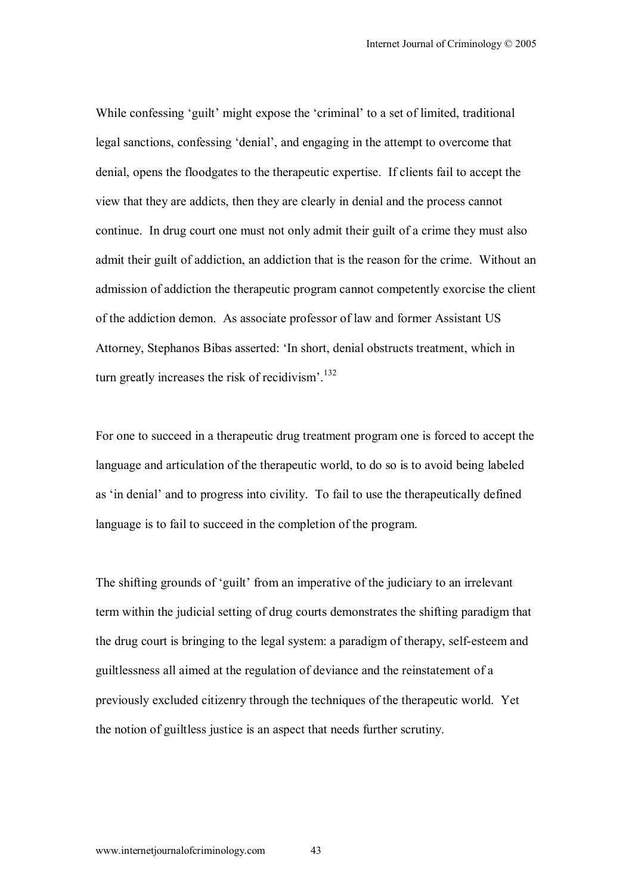While confessing 'guilt' might expose the 'criminal' to a set of limited, traditional legal sanctions, confessing 'denial', and engaging in the attempt to overcome that denial, opens the floodgates to the therapeutic expertise. If clients fail to accept the view that they are addicts, then they are clearly in denial and the process cannot continue. In drug court one must not only admit their guilt of a crime they must also admit their guilt of addiction, an addiction that is the reason for the crime. Without an admission of addiction the therapeutic program cannot competently exorcise the client of the addiction demon. As associate professor of law and former Assistant US Attorney, Stephanos Bibas asserted: ëIn short, denial obstructs treatment, which in turn greatly increases the risk of recidivism'. $132$ 

For one to succeed in a therapeutic drug treatment program one is forced to accept the language and articulation of the therapeutic world, to do so is to avoid being labeled as 'in denial' and to progress into civility. To fail to use the therapeutically defined language is to fail to succeed in the completion of the program.

The shifting grounds of 'guilt' from an imperative of the judiciary to an irrelevant term within the judicial setting of drug courts demonstrates the shifting paradigm that the drug court is bringing to the legal system: a paradigm of therapy, self-esteem and guiltlessness all aimed at the regulation of deviance and the reinstatement of a previously excluded citizenry through the techniques of the therapeutic world. Yet the notion of guiltless justice is an aspect that needs further scrutiny.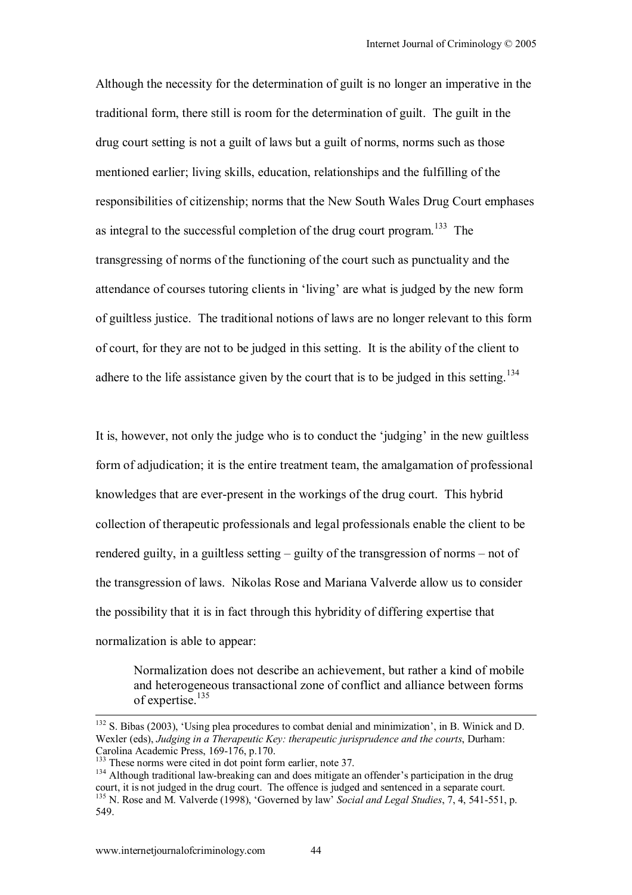Although the necessity for the determination of guilt is no longer an imperative in the traditional form, there still is room for the determination of guilt. The guilt in the drug court setting is not a guilt of laws but a guilt of norms, norms such as those mentioned earlier; living skills, education, relationships and the fulfilling of the responsibilities of citizenship; norms that the New South Wales Drug Court emphases as integral to the successful completion of the drug court program.<sup>133</sup> The transgressing of norms of the functioning of the court such as punctuality and the attendance of courses tutoring clients in 'living' are what is judged by the new form of guiltless justice. The traditional notions of laws are no longer relevant to this form of court, for they are not to be judged in this setting. It is the ability of the client to adhere to the life assistance given by the court that is to be judged in this setting.<sup>134</sup>

It is, however, not only the judge who is to conduct the 'judging' in the new guiltless form of adjudication; it is the entire treatment team, the amalgamation of professional knowledges that are ever-present in the workings of the drug court. This hybrid collection of therapeutic professionals and legal professionals enable the client to be rendered guilty, in a guiltless setting  $-\frac{1}{2}$  guilty of the transgression of norms  $-\text{ not of}$ the transgression of laws. Nikolas Rose and Mariana Valverde allow us to consider the possibility that it is in fact through this hybridity of differing expertise that normalization is able to appear:

Normalization does not describe an achievement, but rather a kind of mobile and heterogeneous transactional zone of conflict and alliance between forms of expertise.135

 $132$  S. Bibas (2003), 'Using plea procedures to combat denial and minimization', in B. Winick and D. Wexler (eds), *Judging in a Therapeutic Key: therapeutic jurisprudence and the courts*, Durham: Carolina Academic Press, 169-176, p.170.<br><sup>133</sup> These norms were cited in dot point form earlier, note 37.

<sup>&</sup>lt;sup>134</sup> Although traditional law-breaking can and does mitigate an offender's participation in the drug court, it is not judged in the drug court. The offence is judged and sentenced in a separate court. <sup>135</sup> N. Rose and M. Valverde (1998), 'Governed by law<sup>'</sup> *Social and Legal Studies*, 7, 4, 541-551, p. 549.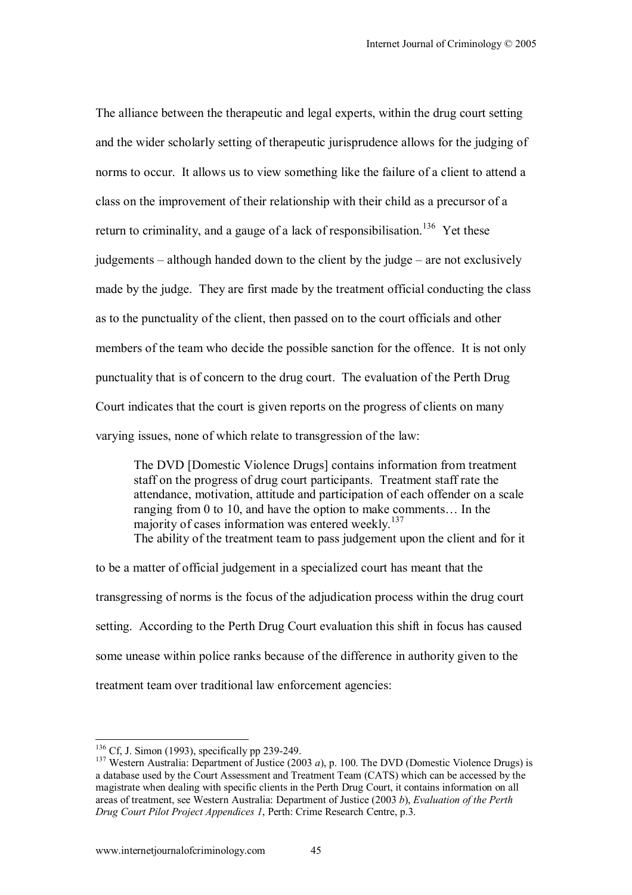The alliance between the therapeutic and legal experts, within the drug court setting and the wider scholarly setting of therapeutic jurisprudence allows for the judging of norms to occur. It allows us to view something like the failure of a client to attend a class on the improvement of their relationship with their child as a precursor of a return to criminality, and a gauge of a lack of responsibilisation.<sup>136</sup> Yet these judgements  $\alpha$  although handed down to the client by the judge  $\alpha$  are not exclusively made by the judge. They are first made by the treatment official conducting the class as to the punctuality of the client, then passed on to the court officials and other members of the team who decide the possible sanction for the offence. It is not only punctuality that is of concern to the drug court. The evaluation of the Perth Drug Court indicates that the court is given reports on the progress of clients on many varying issues, none of which relate to transgression of the law:

The DVD [Domestic Violence Drugs] contains information from treatment staff on the progress of drug court participants. Treatment staff rate the attendance, motivation, attitude and participation of each offender on a scale ranging from 0 to 10, and have the option to make comments... In the majority of cases information was entered weekly. $137$ The ability of the treatment team to pass judgement upon the client and for it

to be a matter of official judgement in a specialized court has meant that the transgressing of norms is the focus of the adjudication process within the drug court setting. According to the Perth Drug Court evaluation this shift in focus has caused some unease within police ranks because of the difference in authority given to the treatment team over traditional law enforcement agencies:

<sup>&</sup>lt;sup>136</sup> Cf, J. Simon (1993), specifically pp 239-249.

<sup>&</sup>lt;sup>137</sup> Western Australia: Department of Justice (2003 *a*), p. 100. The DVD (Domestic Violence Drugs) is a database used by the Court Assessment and Treatment Team (CATS) which can be accessed by the magistrate when dealing with specific clients in the Perth Drug Court, it contains information on all areas of treatment, see Western Australia: Department of Justice (2003 *b*), *Evaluation of the Perth Drug Court Pilot Project Appendices 1*, Perth: Crime Research Centre, p.3.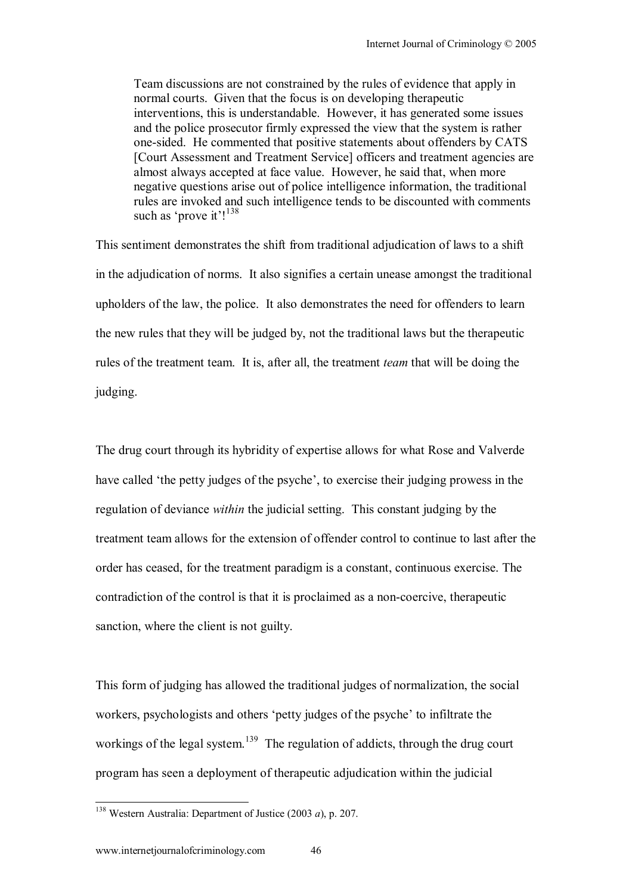Team discussions are not constrained by the rules of evidence that apply in normal courts. Given that the focus is on developing therapeutic interventions, this is understandable. However, it has generated some issues and the police prosecutor firmly expressed the view that the system is rather one-sided. He commented that positive statements about offenders by CATS [Court Assessment and Treatment Service] officers and treatment agencies are almost always accepted at face value. However, he said that, when more negative questions arise out of police intelligence information, the traditional rules are invoked and such intelligence tends to be discounted with comments such as 'prove it'! $138$ 

This sentiment demonstrates the shift from traditional adjudication of laws to a shift in the adjudication of norms. It also signifies a certain unease amongst the traditional upholders of the law, the police. It also demonstrates the need for offenders to learn the new rules that they will be judged by, not the traditional laws but the therapeutic rules of the treatment team. It is, after all, the treatment *team* that will be doing the judging.

The drug court through its hybridity of expertise allows for what Rose and Valverde have called 'the petty judges of the psyche', to exercise their judging prowess in the regulation of deviance *within* the judicial setting. This constant judging by the treatment team allows for the extension of offender control to continue to last after the order has ceased, for the treatment paradigm is a constant, continuous exercise. The contradiction of the control is that it is proclaimed as a non-coercive, therapeutic sanction, where the client is not guilty.

This form of judging has allowed the traditional judges of normalization, the social workers, psychologists and others 'petty judges of the psyche' to infiltrate the workings of the legal system.<sup>139</sup> The regulation of addicts, through the drug court program has seen a deployment of therapeutic adjudication within the judicial

 $\overline{\phantom{a}}$ 

<sup>138</sup> Western Australia: Department of Justice (2003 *a*), p. 207.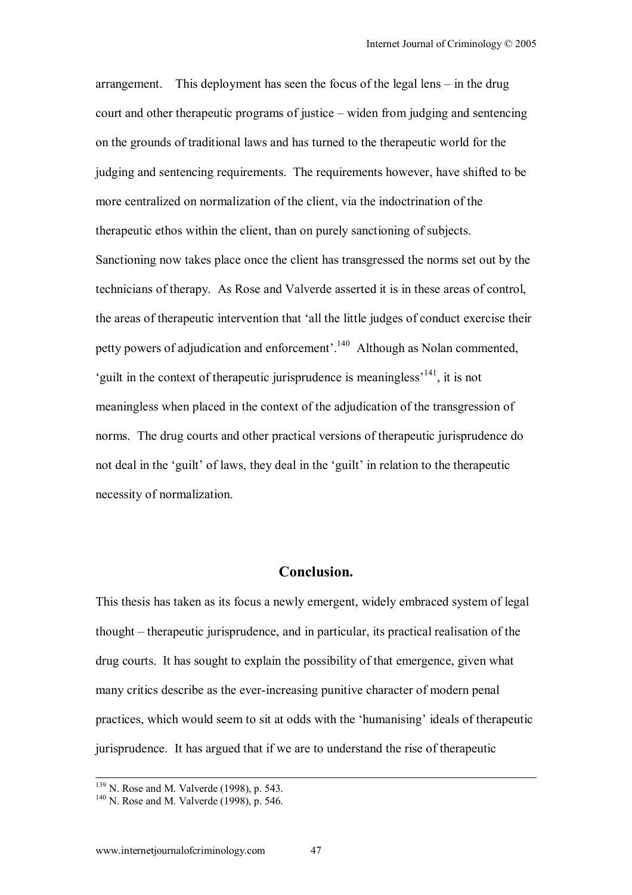arrangement. This deployment has seen the focus of the legal lens  $-$  in the drug court and other therapeutic programs of justice  $-\text{widen}$  from judging and sentencing on the grounds of traditional laws and has turned to the therapeutic world for the judging and sentencing requirements. The requirements however, have shifted to be more centralized on normalization of the client, via the indoctrination of the therapeutic ethos within the client, than on purely sanctioning of subjects. Sanctioning now takes place once the client has transgressed the norms set out by the technicians of therapy. As Rose and Valverde asserted it is in these areas of control, the areas of therapeutic intervention that ëall the little judges of conduct exercise their petty powers of adjudication and enforcement'.<sup>140</sup> Although as Nolan commented, 'guilt in the context of therapeutic jurisprudence is meaningless<sup> $141$ </sup>, it is not meaningless when placed in the context of the adjudication of the transgression of norms. The drug courts and other practical versions of therapeutic jurisprudence do not deal in the 'guilt' of laws, they deal in the 'guilt' in relation to the therapeutic necessity of normalization.

## **Conclusion.**

This thesis has taken as its focus a newly emergent, widely embraced system of legal thought – therapeutic jurisprudence, and in particular, its practical realisation of the drug courts. It has sought to explain the possibility of that emergence, given what many critics describe as the ever-increasing punitive character of modern penal practices, which would seem to sit at odds with the 'humanising' ideals of therapeutic jurisprudence. It has argued that if we are to understand the rise of therapeutic

<sup>&</sup>lt;sup>139</sup> N. Rose and M. Valverde (1998), p. 543.<br><sup>140</sup> N. Rose and M. Valverde (1998), p. 546.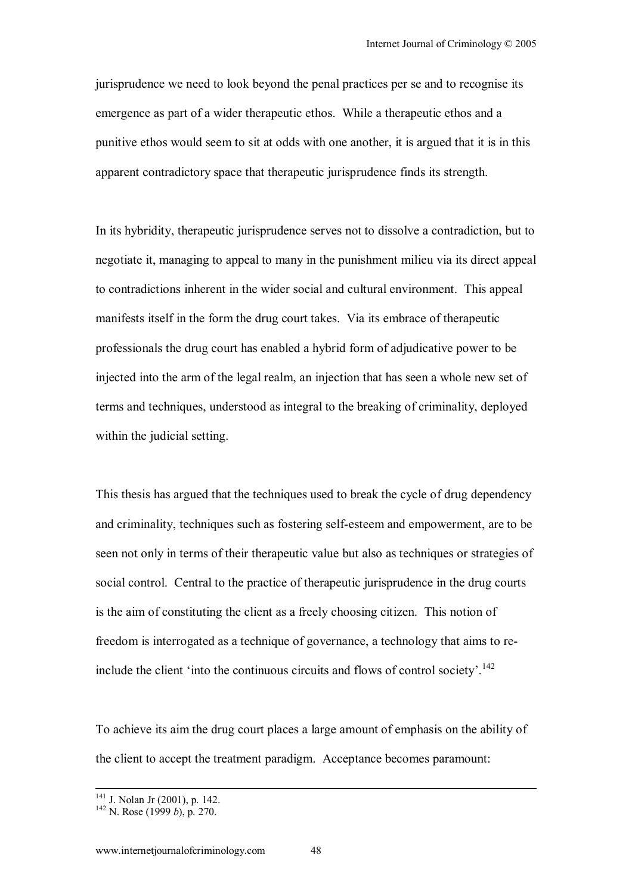jurisprudence we need to look beyond the penal practices per se and to recognise its emergence as part of a wider therapeutic ethos. While a therapeutic ethos and a punitive ethos would seem to sit at odds with one another, it is argued that it is in this apparent contradictory space that therapeutic jurisprudence finds its strength.

In its hybridity, therapeutic jurisprudence serves not to dissolve a contradiction, but to negotiate it, managing to appeal to many in the punishment milieu via its direct appeal to contradictions inherent in the wider social and cultural environment. This appeal manifests itself in the form the drug court takes. Via its embrace of therapeutic professionals the drug court has enabled a hybrid form of adjudicative power to be injected into the arm of the legal realm, an injection that has seen a whole new set of terms and techniques, understood as integral to the breaking of criminality, deployed within the judicial setting.

This thesis has argued that the techniques used to break the cycle of drug dependency and criminality, techniques such as fostering self-esteem and empowerment, are to be seen not only in terms of their therapeutic value but also as techniques or strategies of social control. Central to the practice of therapeutic jurisprudence in the drug courts is the aim of constituting the client as a freely choosing citizen. This notion of freedom is interrogated as a technique of governance, a technology that aims to reinclude the client 'into the continuous circuits and flows of control society'.<sup>142</sup>

To achieve its aim the drug court places a large amount of emphasis on the ability of the client to accept the treatment paradigm. Acceptance becomes paramount:

<sup>&</sup>lt;sup>141</sup> J. Nolan Jr (2001), p. 142.<br><sup>142</sup> N. Rose (1999 *b*), p. 270.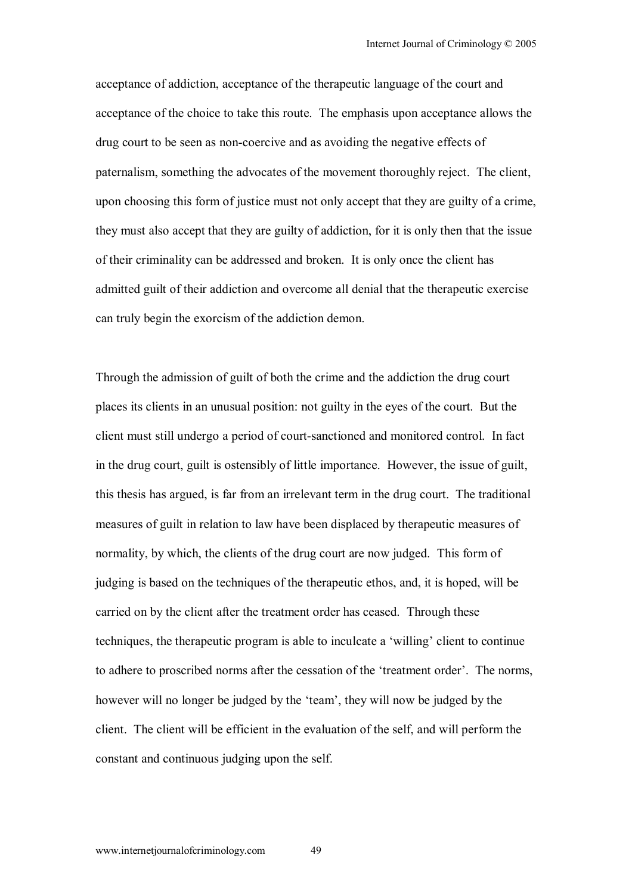acceptance of addiction, acceptance of the therapeutic language of the court and acceptance of the choice to take this route. The emphasis upon acceptance allows the drug court to be seen as non-coercive and as avoiding the negative effects of paternalism, something the advocates of the movement thoroughly reject. The client, upon choosing this form of justice must not only accept that they are guilty of a crime, they must also accept that they are guilty of addiction, for it is only then that the issue of their criminality can be addressed and broken. It is only once the client has admitted guilt of their addiction and overcome all denial that the therapeutic exercise can truly begin the exorcism of the addiction demon.

Through the admission of guilt of both the crime and the addiction the drug court places its clients in an unusual position: not guilty in the eyes of the court. But the client must still undergo a period of court-sanctioned and monitored control. In fact in the drug court, guilt is ostensibly of little importance. However, the issue of guilt, this thesis has argued, is far from an irrelevant term in the drug court. The traditional measures of guilt in relation to law have been displaced by therapeutic measures of normality, by which, the clients of the drug court are now judged. This form of judging is based on the techniques of the therapeutic ethos, and, it is hoped, will be carried on by the client after the treatment order has ceased. Through these techniques, the therapeutic program is able to inculcate a 'willing' client to continue to adhere to proscribed norms after the cessation of the 'treatment order'. The norms, however will no longer be judged by the 'team', they will now be judged by the client. The client will be efficient in the evaluation of the self, and will perform the constant and continuous judging upon the self.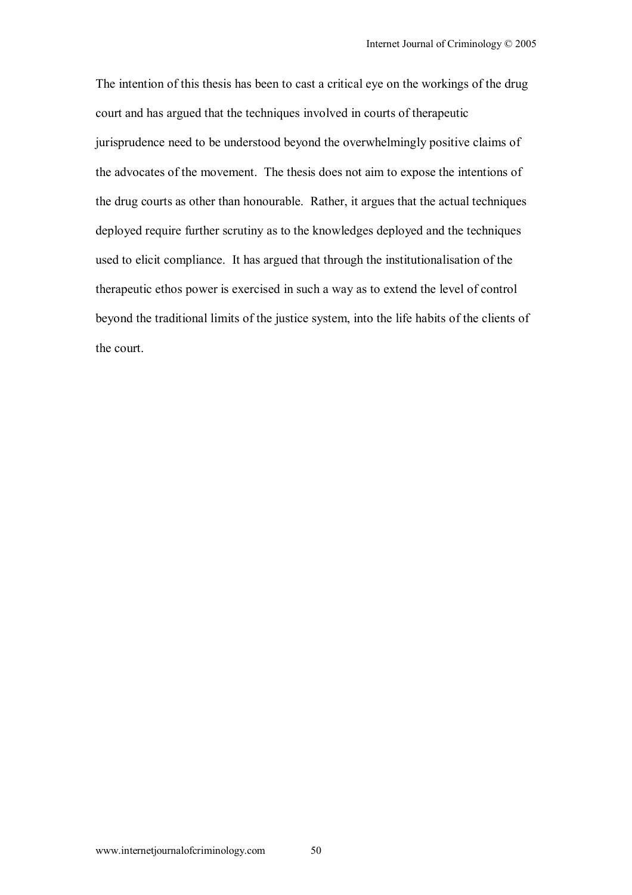The intention of this thesis has been to cast a critical eye on the workings of the drug court and has argued that the techniques involved in courts of therapeutic jurisprudence need to be understood beyond the overwhelmingly positive claims of the advocates of the movement. The thesis does not aim to expose the intentions of the drug courts as other than honourable. Rather, it argues that the actual techniques deployed require further scrutiny as to the knowledges deployed and the techniques used to elicit compliance. It has argued that through the institutionalisation of the therapeutic ethos power is exercised in such a way as to extend the level of control beyond the traditional limits of the justice system, into the life habits of the clients of the court.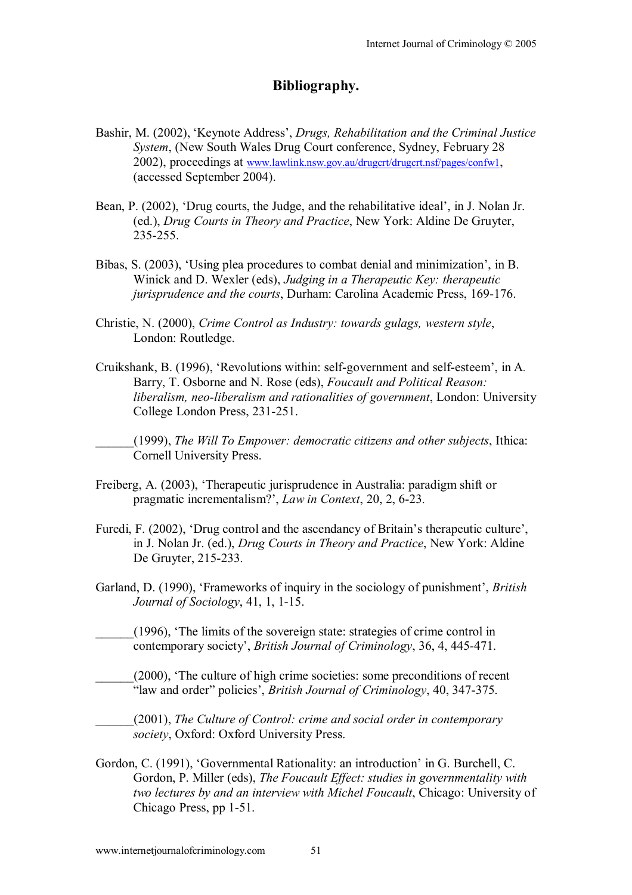#### **Bibliography.**

- Bashir, M. (2002), 'Keynote Address', *Drugs, Rehabilitation and the Criminal Justice System*, (New South Wales Drug Court conference, Sydney, February 28 2002), proceedings at www.lawlink.nsw.gov.au/drugcrt/drugcrt.nsf/pages/confw1, (accessed September 2004).
- Bean, P. (2002), 'Drug courts, the Judge, and the rehabilitative ideal', in J. Nolan Jr. (ed.), *Drug Courts in Theory and Practice*, New York: Aldine De Gruyter, 235-255.
- Bibas, S. (2003), 'Using plea procedures to combat denial and minimization', in B. Winick and D. Wexler (eds), *Judging in a Therapeutic Key: therapeutic jurisprudence and the courts*, Durham: Carolina Academic Press, 169-176.
- Christie, N. (2000), *Crime Control as Industry: towards gulags, western style*, London: Routledge.
- Cruikshank, B. (1996), 'Revolutions within: self-government and self-esteem', in A. Barry, T. Osborne and N. Rose (eds), *Foucault and Political Reason: liberalism, neo-liberalism and rationalities of government*, London: University College London Press, 231-251.

\_\_\_\_\_\_(1999), *The Will To Empower: democratic citizens and other subjects*, Ithica: Cornell University Press.

- Freiberg, A. (2003), ëTherapeutic jurisprudence in Australia: paradigm shift or pragmatic incrementalism?', *Law in Context*, 20, 2, 6-23.
- Furedi, F. (2002), 'Drug control and the ascendancy of Britain's therapeutic culture', in J. Nolan Jr. (ed.), *Drug Courts in Theory and Practice*, New York: Aldine De Gruyter, 215-233.
- Garland, D. (1990), 'Frameworks of inquiry in the sociology of punishment', *British Journal of Sociology*, 41, 1, 1-15.
- \_\_\_\_\_\_(1996), ëThe limits of the sovereign state: strategies of crime control in contemporary societyí, *British Journal of Criminology*, 36, 4, 445-471.
- \_\_\_\_\_\_(2000), ëThe culture of high crime societies: some preconditions of recent ìlaw and orderî policiesí, *British Journal of Criminology*, 40, 347-375.
- \_\_\_\_\_\_(2001), *The Culture of Control: crime and social order in contemporary society*, Oxford: Oxford University Press.
- Gordon, C. (1991), 'Governmental Rationality: an introduction' in G. Burchell, C. Gordon, P. Miller (eds), *The Foucault Effect: studies in governmentality with two lectures by and an interview with Michel Foucault*, Chicago: University of Chicago Press, pp 1-51.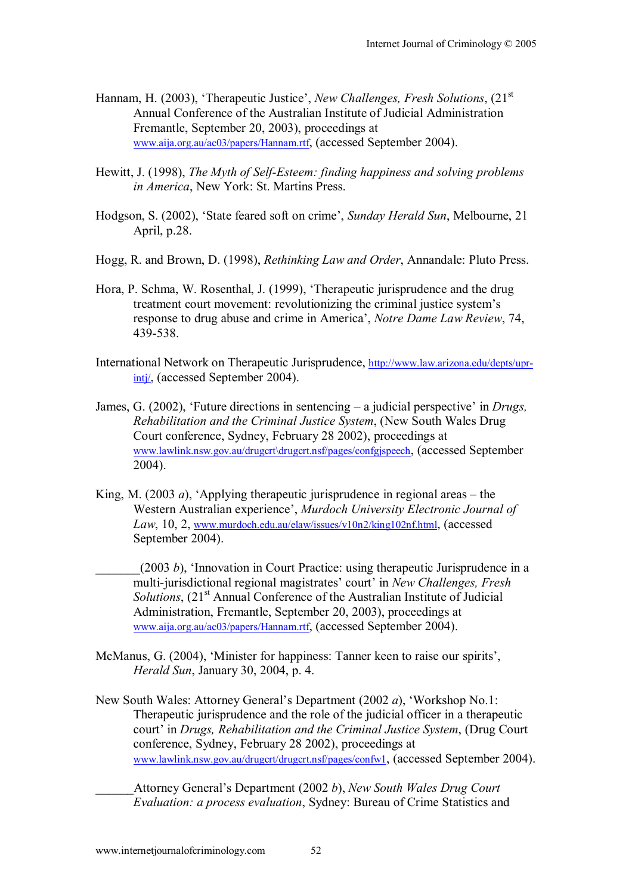- Hannam, H. (2003), 'Therapeutic Justice', *New Challenges, Fresh Solutions*,  $(21<sup>st</sup>)$ Annual Conference of the Australian Institute of Judicial Administration Fremantle, September 20, 2003), proceedings at www.aija.org.au/ac03/papers/Hannam.rtf, (accessed September 2004).
- Hewitt, J. (1998), *The Myth of Self-Esteem: finding happiness and solving problems in America*, New York: St. Martins Press.
- Hodgson, S. (2002), 'State feared soft on crime', *Sunday Herald Sun*, Melbourne, 21 April, p.28.
- Hogg, R. and Brown, D. (1998), *Rethinking Law and Order*, Annandale: Pluto Press.
- Hora, P. Schma, W. Rosenthal, J. (1999), ëTherapeutic jurisprudence and the drug treatment court movement: revolutionizing the criminal justice system's response to drug abuse and crime in America', *Notre Dame Law Review*, 74, 439-538.
- International Network on Therapeutic Jurisprudence, http://www.law.arizona.edu/depts/uprintj/, (accessed September 2004).
- James, G. (2002), 'Future directions in sentencing a judicial perspective' in *Drugs*, *Rehabilitation and the Criminal Justice System*, (New South Wales Drug Court conference, Sydney, February 28 2002), proceedings at www.lawlink.nsw.gov.au/drugcrt\drugcrt.nsf/pages/confgjspeech, (accessed September 2004).
- King, M. (2003  $a$ ), 'Applying therapeutic jurisprudence in regional areas the Western Australian experience', *Murdoch University Electronic Journal of Law*, 10, 2, www.murdoch.edu.au/elaw/issues/v10n2/king102nf.html, (accessed September 2004).

 $(2003 b)$ , 'Innovation in Court Practice: using therapeutic Jurisprudence in a multi-jurisdictional regional magistrates' court' in *New Challenges, Fresh Solutions*,  $(21<sup>st</sup>$  Annual Conference of the Australian Institute of Judicial Administration, Fremantle, September 20, 2003), proceedings at www.aija.org.au/ac03/papers/Hannam.rtf, (accessed September 2004).

- McManus, G. (2004), 'Minister for happiness: Tanner keen to raise our spirits', *Herald Sun*, January 30, 2004, p. 4.
- New South Wales: Attorney General's Department (2002 *a*), 'Workshop No.1: Therapeutic jurisprudence and the role of the judicial officer in a therapeutic court' in *Drugs, Rehabilitation and the Criminal Justice System,* (Drug Court) conference, Sydney, February 28 2002), proceedings at www.lawlink.nsw.gov.au/drugcrt/drugcrt.nsf/pages/confw1, (accessed September 2004).

\_\_\_\_\_\_Attorney Generalís Department (2002 *b*), *New South Wales Drug Court Evaluation: a process evaluation*, Sydney: Bureau of Crime Statistics and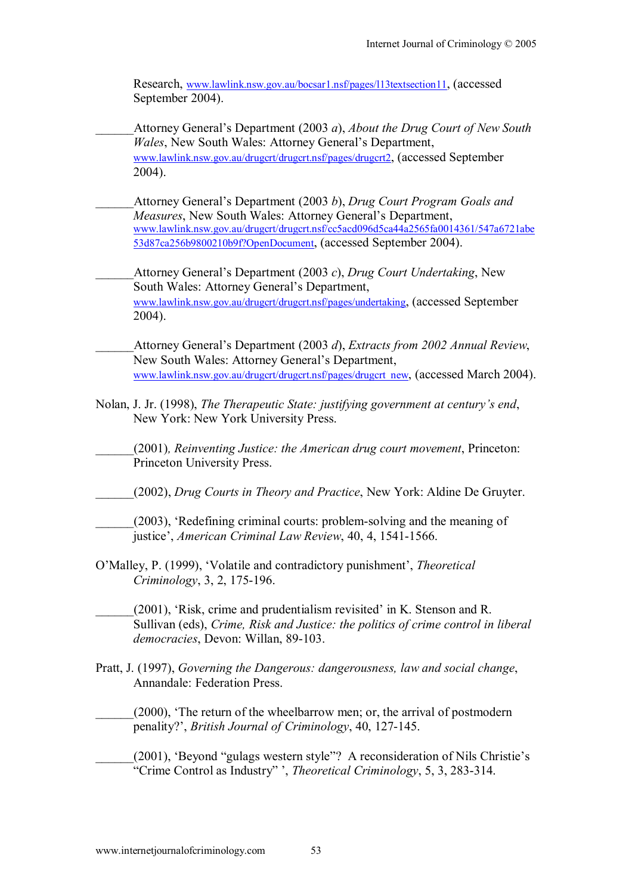Research, www.lawlink.nsw.gov.au/bocsar1.nsf/pages/l13textsection11, (accessed September 2004).

- \_\_\_\_\_\_Attorney Generalís Department (2003 *a*), *About the Drug Court of New South Wales*, New South Wales: Attorney General's Department, www.lawlink.nsw.gov.au/drugcrt/drugcrt.nsf/pages/drugcrt2, (accessed September 2004).
- Attorney General's Department (2003 *b*), *Drug Court Program Goals and Measures*, New South Wales: Attorney General's Department, www.lawlink.nsw.gov.au/drugcrt/drugcrt.nsf/cc5acd096d5ca44a2565fa0014361/547a6721abe 53d87ca256b9800210b9f?OpenDocument, (accessed September 2004).

\_\_\_\_\_\_Attorney Generalís Department (2003 *c*), *Drug Court Undertaking*, New South Wales: Attorney General's Department, www.lawlink.nsw.gov.au/drugcrt/drugcrt.nsf/pages/undertaking, (accessed September 2004).

\_\_\_\_\_\_Attorney Generalís Department (2003 *d*), *Extracts from 2002 Annual Review*, New South Wales: Attorney General's Department, www.lawlink.nsw.gov.au/drugcrt/drugcrt.nsf/pages/drugcrt\_new, (accessed March 2004).

- Nolan, J. Jr. (1998), *The Therapeutic State: justifying government at centuryís end*, New York: New York University Press.
- \_\_\_\_\_\_(2001)*, Reinventing Justice: the American drug court movement*, Princeton: Princeton University Press.
- \_\_\_\_\_\_(2002), *Drug Courts in Theory and Practice*, New York: Aldine De Gruyter.
- \_\_\_\_\_\_(2003), ëRedefining criminal courts: problem-solving and the meaning of justice', *American Criminal Law Review*, 40, 4, 1541-1566.
- O'Malley, P. (1999), 'Volatile and contradictory punishment', *Theoretical Criminology*, 3, 2, 175-196.
	- $(2001)$ , 'Risk, crime and prudentialism revisited' in K. Stenson and R. Sullivan (eds), *Crime, Risk and Justice: the politics of crime control in liberal democracies*, Devon: Willan, 89-103.
- Pratt, J. (1997), *Governing the Dangerous: dangerousness, law and social change*, Annandale: Federation Press.
	- (2000), 'The return of the wheelbarrow men; or, the arrival of postmodern penality?', *British Journal of Criminology*, 40, 127-145.

 $(2001)$ , 'Beyond "gulags western style"? A reconsideration of Nils Christie's <sup>2</sup>Crime Control as Industry" ', *Theoretical Criminology*, 5, 3, 283-314.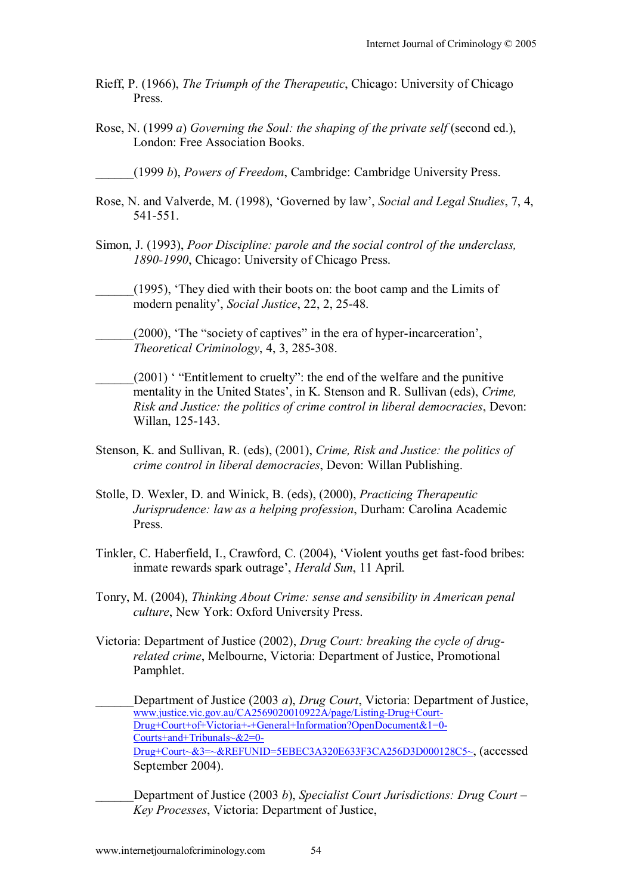- Rieff, P. (1966), *The Triumph of the Therapeutic*, Chicago: University of Chicago Press.
- Rose, N. (1999 *a*) *Governing the Soul: the shaping of the private self* (second ed.), London: Free Association Books.
	- \_\_\_\_\_\_(1999 *b*), *Powers of Freedom*, Cambridge: Cambridge University Press.
- Rose, N. and Valverde, M. (1998), 'Governed by law', *Social and Legal Studies*, 7, 4, 541-551.
- Simon, J. (1993), *Poor Discipline: parole and the social control of the underclass, 1890-1990*, Chicago: University of Chicago Press.
- \_\_\_\_\_\_(1995), ëThey died with their boots on: the boot camp and the Limits of modern penality', *Social Justice*, 22, 2, 25-48.
- $(2000)$ , 'The "society of captives" in the era of hyper-incarceration', *Theoretical Criminology*, 4, 3, 285-308.
- $(2001)$  "Entitlement to cruelty": the end of the welfare and the punitive mentality in the United States', in K. Stenson and R. Sullivan (eds), *Crime*, *Risk and Justice: the politics of crime control in liberal democracies*, Devon: Willan, 125-143.
- Stenson, K. and Sullivan, R. (eds), (2001), *Crime, Risk and Justice: the politics of crime control in liberal democracies*, Devon: Willan Publishing.
- Stolle, D. Wexler, D. and Winick, B. (eds), (2000), *Practicing Therapeutic Jurisprudence: law as a helping profession*, Durham: Carolina Academic Press.
- Tinkler, C. Haberfield, I., Crawford, C. (2004), ëViolent youths get fast-food bribes: inmate rewards spark outrage', *Herald Sun*, 11 April.
- Tonry, M. (2004), *Thinking About Crime: sense and sensibility in American penal culture*, New York: Oxford University Press.
- Victoria: Department of Justice (2002), *Drug Court: breaking the cycle of drugrelated crime*, Melbourne, Victoria: Department of Justice, Promotional Pamphlet.
	- \_\_\_\_\_\_Department of Justice (2003 *a*), *Drug Court*, Victoria: Department of Justice, www.justice.vic.gov.au/CA2569020010922A/page/Listing-Drug+Court-Drug+Court+of+Victoria+-+General+Information?OpenDocument&1=0- Courts+and+Tribunals~&2=0- Drug+Court~&3=~&REFUNID=5EBEC3A320E633F3CA256D3D000128C5~, (accessed September 2004).
	- Department of Justice (2003 *b*), *Specialist Court Jurisdictions: Drug Court Key Processes*, Victoria: Department of Justice,